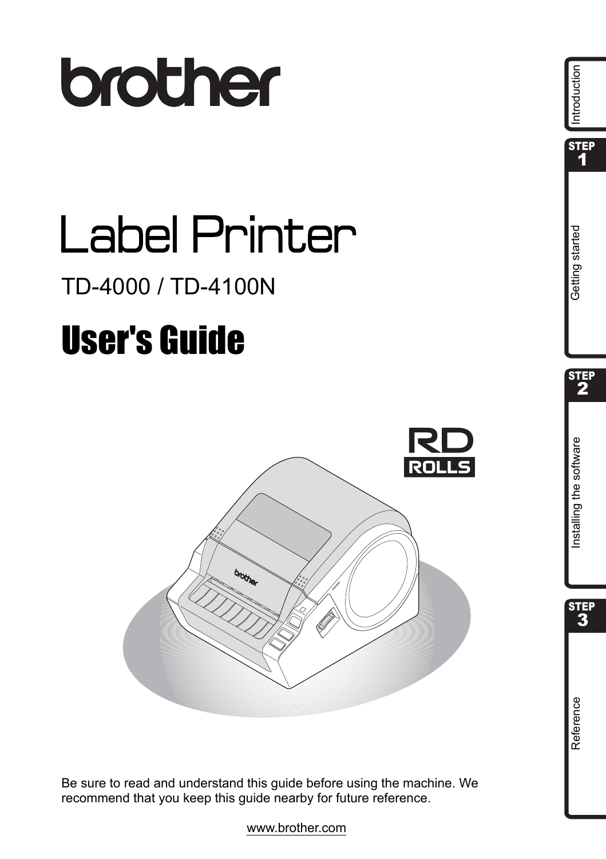

# **Label Printer**

# TD-4000 / TD-4100N

# **User's Guide**



Be sure to read and understand this guide before using the machine. We recommend that you keep this guide nearby for future reference.



www.brother.com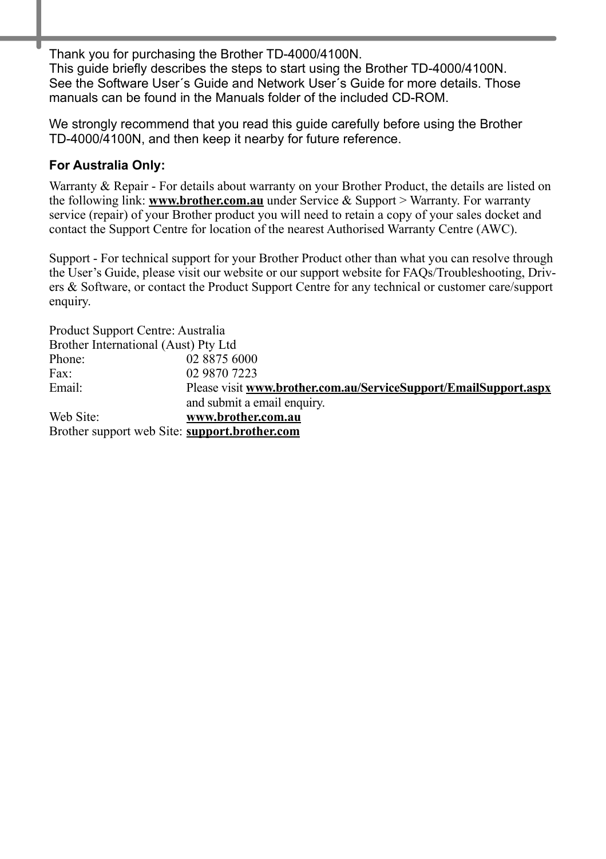Thank you for purchasing the Brother TD-4000/4100N. This guide briefly describes the steps to start using the Brother TD-4000/4100N. See the Software User´s Guide and Network User´s Guide for more details. Those manuals can be found in the Manuals folder of the included CD-ROM.

We strongly recommend that you read this guide carefully before using the Brother TD-4000/4100N, and then keep it nearby for future reference.

#### **For Australia Only:**

Warranty & Repair - For details about warranty on your Brother Product, the details are listed on the following link: **[www.brother.com.au](http://brother.com.au)** under Service & Support > Warranty. For warranty service (repair) of your Brother product you will need to retain a copy of your sales docket and contact the Support Centre for location of the nearest Authorised Warranty Centre (AWC).

Support - For technical support for your Brother Product other than what you can resolve through the User's Guide, please visit our website or our support website for FAQs/Troubleshooting, Drivers & Software, or contact the Product Support Centre for any technical or customer care/support enquiry.

| Product Support Centre: Australia             |                                                                  |
|-----------------------------------------------|------------------------------------------------------------------|
| Brother International (Aust) Pty Ltd          |                                                                  |
| Phone:                                        | 02 8875 6000                                                     |
| Fax:                                          | 02 9870 7223                                                     |
| Email:                                        | Please visit www.brother.com.au/ServiceSupport/EmailSupport.aspx |
|                                               | and submit a email enquiry.                                      |
| Web Site:                                     | www.brother.com.au                                               |
| Brother support web Site: support.brother.com |                                                                  |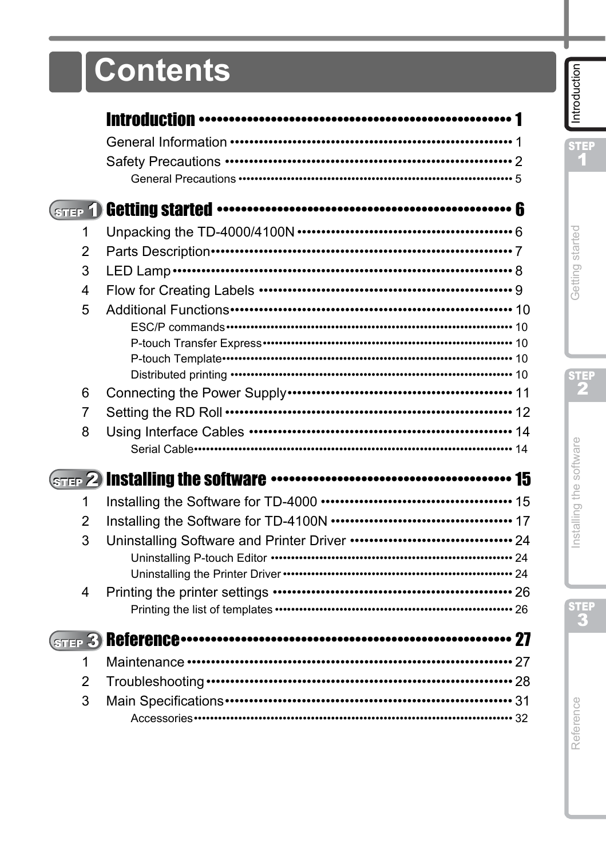# **Contents**

| 1 |                                              |  |
|---|----------------------------------------------|--|
| 2 |                                              |  |
| 3 |                                              |  |
| 4 |                                              |  |
| 5 |                                              |  |
|   |                                              |  |
|   |                                              |  |
|   |                                              |  |
| 6 |                                              |  |
| 7 | Setting the RD Roll ……………………………………………………… 12 |  |
| 8 |                                              |  |
|   |                                              |  |
|   |                                              |  |
| 1 |                                              |  |
| 2 |                                              |  |
| 3 |                                              |  |
|   |                                              |  |
|   |                                              |  |
| 4 |                                              |  |
|   |                                              |  |
|   |                                              |  |
| 1 |                                              |  |
| 2 |                                              |  |
| 3 |                                              |  |
|   |                                              |  |

STEP<br>1

STEP<sub>2</sub>

STEP<br>3

Reference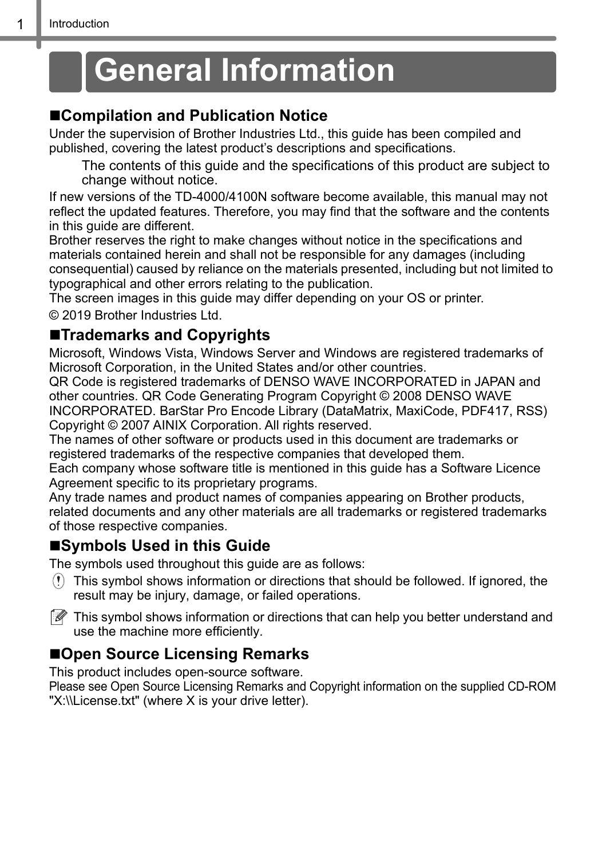# <span id="page-3-2"></span><span id="page-3-1"></span><span id="page-3-0"></span>**General Information**

## **Compilation and Publication Notice**

Under the supervision of Brother Industries Ltd., this guide has been compiled and published, covering the latest product's descriptions and specifications.

The contents of this guide and the specifications of this product are subject to change without notice.

If new versions of the TD-4000/4100N software become available, this manual may not reflect the updated features. Therefore, you may find that the software and the contents in this guide are different.

Brother reserves the right to make changes without notice in the specifications and materials contained herein and shall not be responsible for any damages (including consequential) caused by reliance on the materials presented, including but not limited to typographical and other errors relating to the publication.

The screen images in this guide may differ depending on your OS or printer.

© 2019 Brother Industries Ltd.

### **Trademarks and Copyrights**

Microsoft, Windows Vista, Windows Server and Windows are registered trademarks of Microsoft Corporation, in the United States and/or other countries.

QR Code is registered trademarks of DENSO WAVE INCORPORATED in JAPAN and other countries. QR Code Generating Program Copyright © 2008 DENSO WAVE INCORPORATED. BarStar Pro Encode Library (DataMatrix, MaxiCode, PDF417, RSS) Copyright © 2007 AINIX Corporation. All rights reserved.

The names of other software or products used in this document are trademarks or registered trademarks of the respective companies that developed them.

Each company whose software title is mentioned in this guide has a Software Licence Agreement specific to its proprietary programs.

Any trade names and product names of companies appearing on Brother products, related documents and any other materials are all trademarks or registered trademarks of those respective companies.

## **Symbols Used in this Guide**

The symbols used throughout this guide are as follows:

This symbol shows information or directions that should be followed. If ignored, the result may be injury, damage, or failed operations.



 $\mathbb{R}$  This symbol shows information or directions that can help you better understand and use the machine more efficiently.

## ■Open Source Licensing Remarks

This product includes open-source software.

Please see Open Source Licensing Remarks and Copyright information on the supplied CD-ROM "X:\\License.txt" (where X is your drive letter).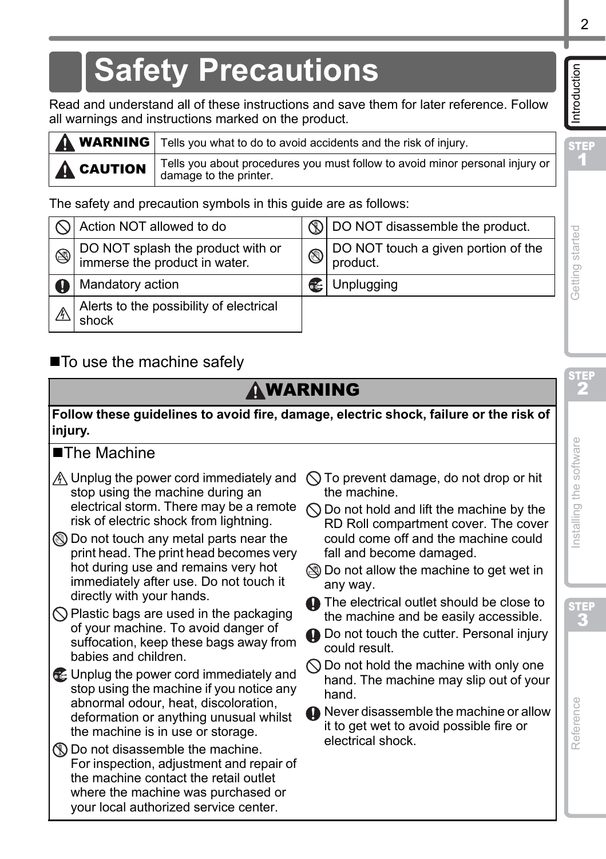**STEP** 1

Introduction

# <span id="page-4-0"></span>**Safety Precautions**

Read and understand all of these instructions and save them for later reference. Follow all warnings and instructions marked on the product.

|                     | <b>A WARNING</b> Tells you what to do to avoid accidents and the risk of injury.                         |
|---------------------|----------------------------------------------------------------------------------------------------------|
| $\mathbf A$ CAUTION | Tells you about procedures you must follow to avoid minor personal injury or  <br>damage to the printer. |

The safety and precaution symbols in this guide are as follows:

|   | Action NOT allowed to do                                           |             | 10 DO NOT disassemble the product.              |
|---|--------------------------------------------------------------------|-------------|-------------------------------------------------|
| ❀ | DO NOT splash the product with or<br>immerse the product in water. | $\circledS$ | DO NOT touch a given portion of the<br>product. |
|   | Mandatory action                                                   |             | Unplugging                                      |
|   | Alerts to the possibility of electrical<br>shock                   |             |                                                 |

# ■ To use the machine safely

# **AWARNING**

**Follow these guidelines to avoid fire, damage, electric shock, failure or the risk of injury.**

## ■The Machine

- stop using the machine during an electrical storm. There may be a remote risk of electric shock from lightning.
- **In** Do not touch any metal parts near the print head. The print head becomes very hot during use and remains very hot immediately after use. Do not touch it directly with your hands.
- $\bigcirc$  Plastic bags are used in the packaging of your machine. To avoid danger of suffocation, keep these bags away from babies and children.
- Unplug the power cord immediately and stop using the machine if you notice any abnormal odour, heat, discoloration, deformation or anything unusual whilst the machine is in use or storage.
- $\mathbb D$  Do not disassemble the machine. For inspection, adjustment and repair of the machine contact the retail outlet where the machine was purchased or your local authorized service center.
- Unplug the power cord immediately and  $\bigcirc$  To prevent damage, do not drop or hit the machine.
	- $\bigcirc$  Do not hold and lift the machine by the RD Roll compartment cover. The cover could come off and the machine could fall and become damaged.
	- Do not allow the machine to get wet in any way.
	- The electrical outlet should be close to the machine and be easily accessible.
	- **O** Do not touch the cutter. Personal injury could result.
	- $\bigcirc$  Do not hold the machine with only one hand. The machine may slip out of your hand.
	- **A** Never disassemble the machine or allow it to get wet to avoid possible fire or electrical shock.

uogpapoduu ht 1 and papers buinsed and ht 2 and always automobility of the computation of the computation of th

STEP 2

Getting started

STEP

Reference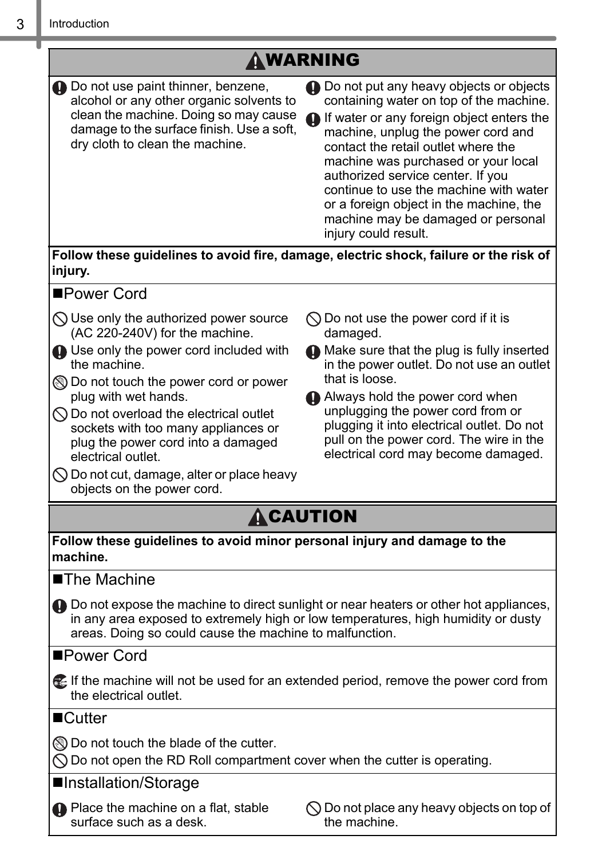|                                                                                                                                                                                                                                                                                                                                                                                                                                                                           | AWARNING                                                                                                                                                                                                                                                                                                                                                                                                                                      |
|---------------------------------------------------------------------------------------------------------------------------------------------------------------------------------------------------------------------------------------------------------------------------------------------------------------------------------------------------------------------------------------------------------------------------------------------------------------------------|-----------------------------------------------------------------------------------------------------------------------------------------------------------------------------------------------------------------------------------------------------------------------------------------------------------------------------------------------------------------------------------------------------------------------------------------------|
| 1 Do not use paint thinner, benzene,<br>alcohol or any other organic solvents to<br>clean the machine. Doing so may cause<br>damage to the surface finish. Use a soft,<br>dry cloth to clean the machine.                                                                                                                                                                                                                                                                 | 4 Do not put any heavy objects or objects<br>containing water on top of the machine.<br>If water or any foreign object enters the<br>machine, unplug the power cord and<br>contact the retail outlet where the<br>machine was purchased or your local<br>authorized service center. If you<br>continue to use the machine with water<br>or a foreign object in the machine, the<br>machine may be damaged or personal<br>injury could result. |
| injury.                                                                                                                                                                                                                                                                                                                                                                                                                                                                   | Follow these guidelines to avoid fire, damage, electric shock, failure or the risk of                                                                                                                                                                                                                                                                                                                                                         |
| ■Power Cord                                                                                                                                                                                                                                                                                                                                                                                                                                                               |                                                                                                                                                                                                                                                                                                                                                                                                                                               |
| $\bigcirc$ Use only the authorized power source<br>(AC 220-240V) for the machine.<br><b>Q</b> Use only the power cord included with<br>the machine.<br><b>IO</b> Do not touch the power cord or power<br>plug with wet hands.<br>$\bigcirc$ Do not overload the electrical outlet<br>sockets with too many appliances or<br>plug the power cord into a damaged<br>electrical outlet.<br>$\bigcirc$ Do not cut, damage, alter or place heavy<br>objects on the power cord. | $\bigcirc$ Do not use the power cord if it is<br>damaged.<br>A Make sure that the plug is fully inserted<br>in the power outlet. Do not use an outlet<br>that is loose.<br>Always hold the power cord when<br>unplugging the power cord from or<br>plugging it into electrical outlet. Do not<br>pull on the power cord. The wire in the<br>electrical cord may become damaged.                                                               |
|                                                                                                                                                                                                                                                                                                                                                                                                                                                                           | ACAUTION                                                                                                                                                                                                                                                                                                                                                                                                                                      |
| Follow these guidelines to avoid minor personal injury and damage to the<br>machine.                                                                                                                                                                                                                                                                                                                                                                                      |                                                                                                                                                                                                                                                                                                                                                                                                                                               |
| ■The Machine                                                                                                                                                                                                                                                                                                                                                                                                                                                              |                                                                                                                                                                                                                                                                                                                                                                                                                                               |
| areas. Doing so could cause the machine to malfunction.                                                                                                                                                                                                                                                                                                                                                                                                                   | 4 Do not expose the machine to direct sunlight or near heaters or other hot appliances,<br>in any area exposed to extremely high or low temperatures, high humidity or dusty                                                                                                                                                                                                                                                                  |
| ■Power Cord                                                                                                                                                                                                                                                                                                                                                                                                                                                               |                                                                                                                                                                                                                                                                                                                                                                                                                                               |
| <b>E</b> If the machine will not be used for an extended period, remove the power cord from<br>the electrical outlet.                                                                                                                                                                                                                                                                                                                                                     |                                                                                                                                                                                                                                                                                                                                                                                                                                               |
| ■Cutter                                                                                                                                                                                                                                                                                                                                                                                                                                                                   |                                                                                                                                                                                                                                                                                                                                                                                                                                               |
| ◯ Do not touch the blade of the cutter.<br>$\bigcirc$ Do not open the RD Roll compartment cover when the cutter is operating.                                                                                                                                                                                                                                                                                                                                             |                                                                                                                                                                                                                                                                                                                                                                                                                                               |
| ■Installation/Storage                                                                                                                                                                                                                                                                                                                                                                                                                                                     |                                                                                                                                                                                                                                                                                                                                                                                                                                               |
| <b>O</b> Place the machine on a flat, stable<br>surface such as a desk.                                                                                                                                                                                                                                                                                                                                                                                                   | $\bigcirc$ Do not place any heavy objects on top of<br>the machine.                                                                                                                                                                                                                                                                                                                                                                           |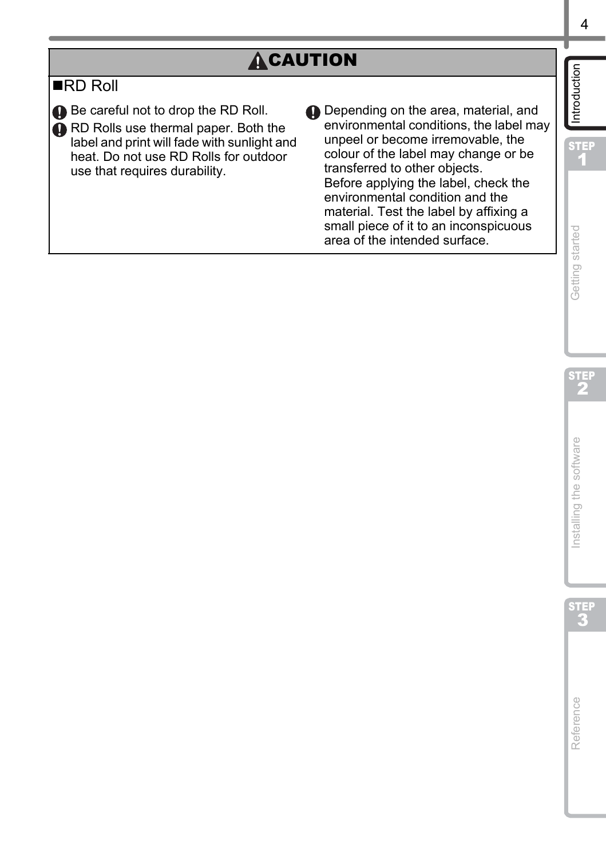# **ACAUTION**

## RD Roll

Be careful not to drop the RD Roll.

**A** RD Rolls use thermal paper. Both the label and print will fade with sunlight and heat. Do not use RD Rolls for outdoor use that requires durability.

Depending on the area, material, and environmental conditions, the label may unpeel or become irremovable, the colour of the label may change or be transferred to other objects. Before applying the label, check the environmental condition and the material. Test the label by affixing a small piece of it to an inconspicuous area of the intended surface.



STEP 1

Introduction

STEP 2

Getting started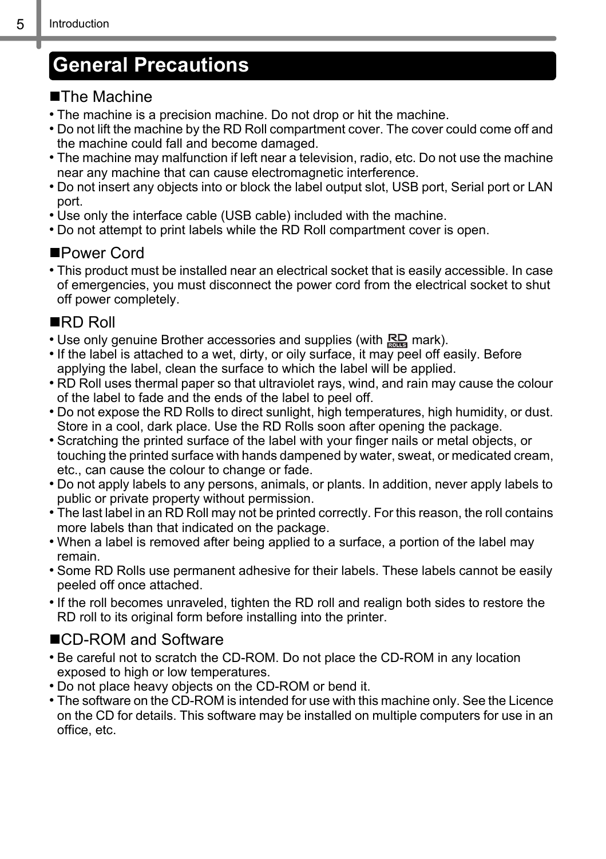# <span id="page-7-0"></span>**General Precautions**

#### ■The Machine

- The machine is a precision machine. Do not drop or hit the machine.
- Do not lift the machine by the RD Roll compartment cover. The cover could come off and the machine could fall and become damaged.
- The machine may malfunction if left near a television, radio, etc. Do not use the machine near any machine that can cause electromagnetic interference.
- Do not insert any objects into or block the label output slot, USB port, Serial port or LAN port.
- Use only the interface cable (USB cable) included with the machine.
- Do not attempt to print labels while the RD Roll compartment cover is open.

#### ■Power Cord

• This product must be installed near an electrical socket that is easily accessible. In case of emergencies, you must disconnect the power cord from the electrical socket to shut off power completely.

## ■RD Roll

- Use only genuine Brother accessories and supplies (with **RD** mark).
- If the label is attached to a wet, dirty, or oily surface, it may peel off easily. Before applying the label, clean the surface to which the label will be applied.
- RD Roll uses thermal paper so that ultraviolet rays, wind, and rain may cause the colour of the label to fade and the ends of the label to peel off.
- Do not expose the RD Rolls to direct sunlight, high temperatures, high humidity, or dust. Store in a cool, dark place. Use the RD Rolls soon after opening the package.
- Scratching the printed surface of the label with your finger nails or metal objects, or touching the printed surface with hands dampened by water, sweat, or medicated cream, etc., can cause the colour to change or fade.
- Do not apply labels to any persons, animals, or plants. In addition, never apply labels to public or private property without permission.
- The last label in an RD Roll may not be printed correctly. For this reason, the roll contains more labels than that indicated on the package.
- When a label is removed after being applied to a surface, a portion of the label may remain.
- Some RD Rolls use permanent adhesive for their labels. These labels cannot be easily peeled off once attached.
- If the roll becomes unraveled, tighten the RD roll and realign both sides to restore the RD roll to its original form before installing into the printer.

## ■CD-ROM and Software

- Be careful not to scratch the CD-ROM. Do not place the CD-ROM in any location exposed to high or low temperatures.
- Do not place heavy objects on the CD-ROM or bend it.
- The software on the CD-ROM is intended for use with this machine only. See the Licence on the CD for details. This software may be installed on multiple computers for use in an office, etc.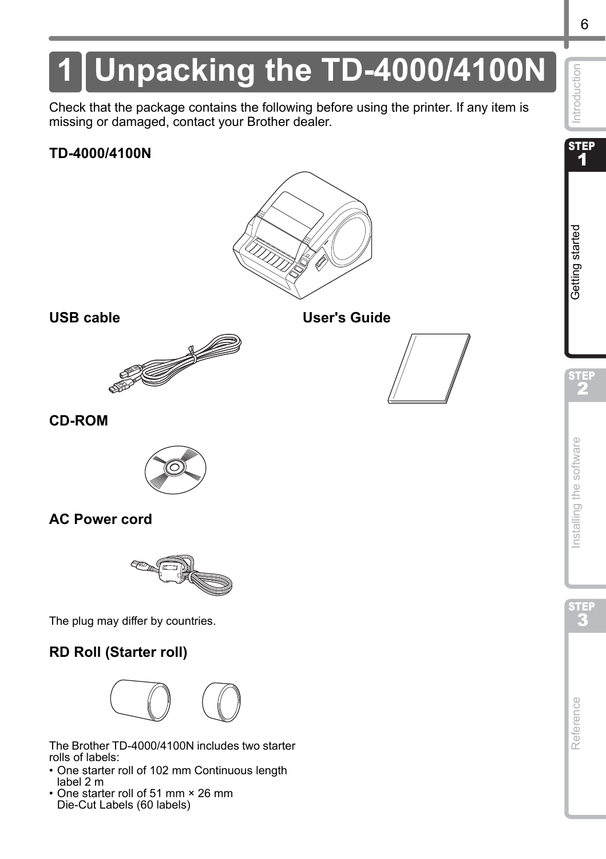# <span id="page-8-2"></span><span id="page-8-1"></span><span id="page-8-0"></span>**1 Unpacking the TD-4000/4100N**

Check that the package contains the following before using the printer. If any item is missing or damaged, contact your Brother dealer.

#### **TD-4000/4100N**



#### **USB cable User's Guide**





#### **CD-ROM**



#### **AC Power cord**



The plug may differ by countries.

### **RD Roll (Starter roll)**



The Brother TD-4000/4100N includes two starter rolls of labels:

- One starter roll of 102 mm Continuous length label 2 m
- One starter roll of 51 mm × 26 mm Die-Cut Labels (60 labels)

**STEP** 1

Introduction

STEP 2

Getting started

**Deters during started in the Construction of the Construction of the Construction Started Started Started Started Started Started Started Started Started Started Started Started Started Started Started Started Started Sta** 

nstalling the software

# [Reference](#page-29-0) International Section of the software international computation of the software International Section of the software International Section of the software international computation of the software international

Reference

STEP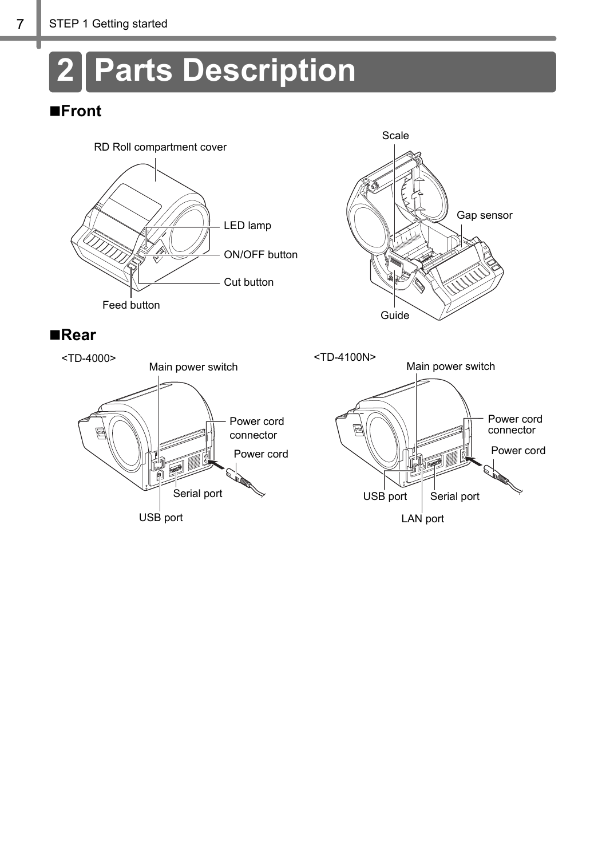# <span id="page-9-0"></span>**2 Parts Description**

## **Front**









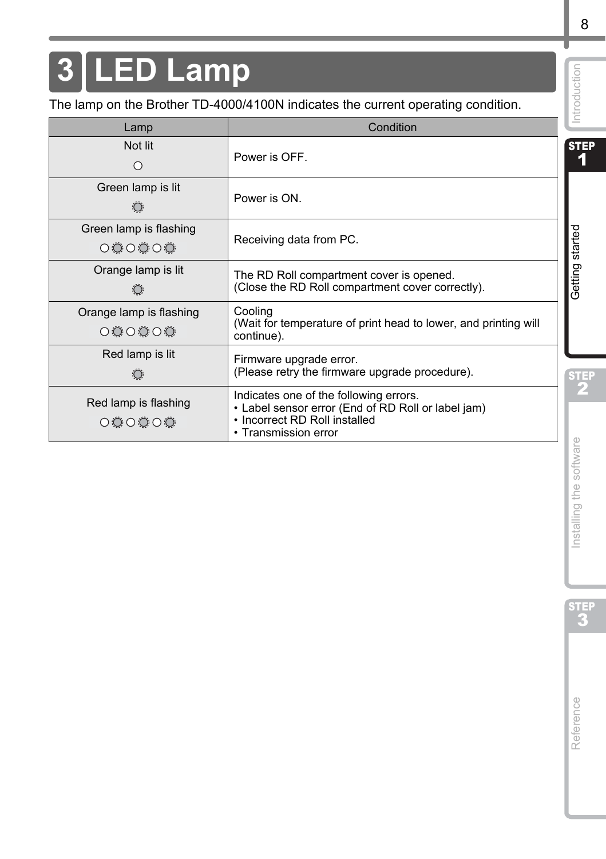# <span id="page-10-0"></span>**3 LED Lamp**

| Lamp                                            | Condition                                                                                                                                             |  |
|-------------------------------------------------|-------------------------------------------------------------------------------------------------------------------------------------------------------|--|
| Not lit<br>$\bigcirc$                           | Power is OFF.                                                                                                                                         |  |
| Green lamp is lit<br>Power is ON.<br>$\bigcirc$ |                                                                                                                                                       |  |
| Green lamp is flashing<br>000000                | Receiving data from PC.                                                                                                                               |  |
| Orange lamp is lit<br>$\bigcirc$                | The RD Roll compartment cover is opened.<br>(Close the RD Roll compartment cover correctly).                                                          |  |
| Orange lamp is flashing<br>O O O O O            | Cooling<br>(Wait for temperature of print head to lower, and printing will<br>continue).                                                              |  |
| Red lamp is lit<br>$\ddot{O}$                   | Firmware upgrade error.<br>(Please retry the firmware upgrade procedure).                                                                             |  |
| Red lamp is flashing<br>O O O O O               | Indicates one of the following errors.<br>• Label sensor error (End of RD Roll or label jam)<br>· Incorrect RD Roll installed<br>• Transmission error |  |
|                                                 |                                                                                                                                                       |  |
|                                                 |                                                                                                                                                       |  |
|                                                 |                                                                                                                                                       |  |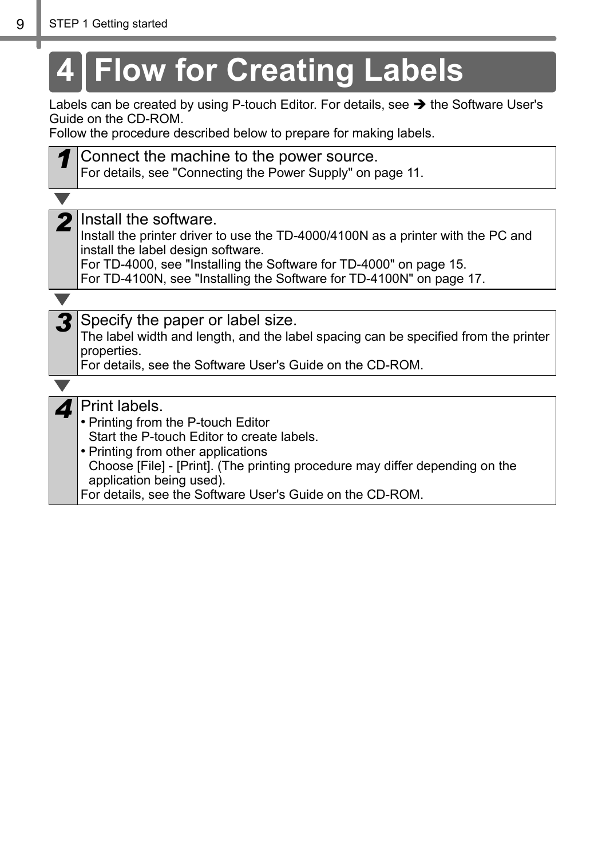<span id="page-11-0"></span>

| 4 Flow for Creating Labels                                                                                                                                                                                                                                                                                       |  |  |
|------------------------------------------------------------------------------------------------------------------------------------------------------------------------------------------------------------------------------------------------------------------------------------------------------------------|--|--|
| Labels can be created by using P-touch Editor. For details, see → the Software User's<br>Guide on the CD-ROM.<br>Follow the procedure described below to prepare for making labels.                                                                                                                              |  |  |
| Connect the machine to the power source.<br>For details, see "Connecting the Power Supply" on page 11.                                                                                                                                                                                                           |  |  |
|                                                                                                                                                                                                                                                                                                                  |  |  |
| Install the software.<br>Install the printer driver to use the TD-4000/4100N as a printer with the PC and<br>install the label design software.<br>For TD-4000, see "Installing the Software for TD-4000" on page 15.<br>For TD-4100N, see "Installing the Software for TD-4100N" on page 17.                    |  |  |
|                                                                                                                                                                                                                                                                                                                  |  |  |
| Specify the paper or label size.<br>The label width and length, and the label spacing can be specified from the printer<br>properties.<br>For details, see the Software User's Guide on the CD-ROM.                                                                                                              |  |  |
|                                                                                                                                                                                                                                                                                                                  |  |  |
| Print labels.<br>• Printing from the P-touch Editor<br>Start the P-touch Editor to create labels.<br>• Printing from other applications<br>Choose [File] - [Print]. (The printing procedure may differ depending on the<br>application being used).<br>For details, see the Software User's Guide on the CD-ROM. |  |  |

**Service State**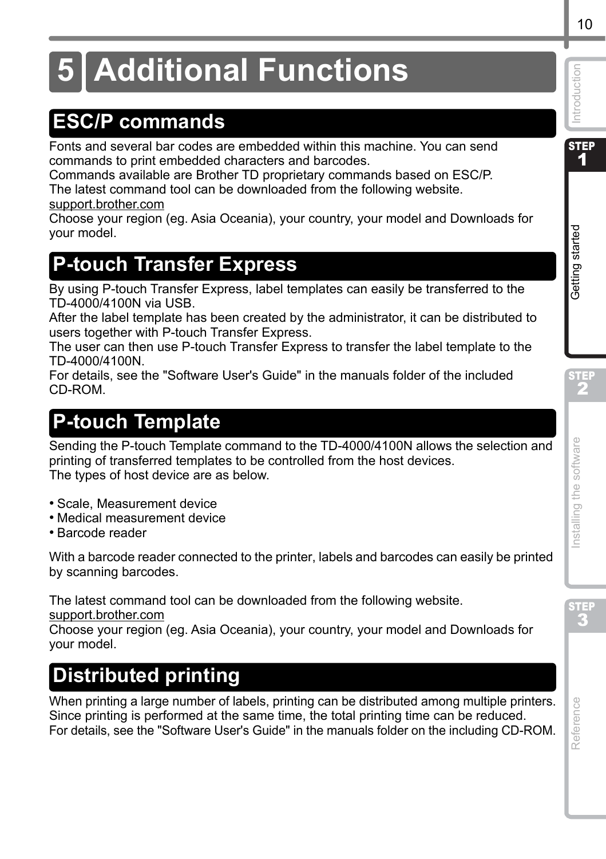# <span id="page-12-0"></span>**5 Additional Functions**

# <span id="page-12-1"></span>**ESC/P commands**

Fonts and several bar codes are embedded within this machine. You can send commands to print embedded characters and barcodes.

Commands available are Brother TD proprietary commands based on ESC/P. The latest command tool can be downloaded from the following website.

[support.brother.com](http://support.brother.com)

Choose your region (eg. Asia Oceania), your country, your model and Downloads for your model.

# <span id="page-12-2"></span>**P-touch Transfer Express**

By using P-touch Transfer Express, label templates can easily be transferred to the TD-4000/4100N via USB.

After the label template has been created by the administrator, it can be distributed to users together with P-touch Transfer Express.

The user can then use P-touch Transfer Express to transfer the label template to the TD-4000/4100N.

For details, see the "Software User's Guide" in the manuals folder of the included CD-ROM.

# <span id="page-12-3"></span>**P-touch Template**

Sending the P-touch Template command to the TD-4000/4100N allows the selection and printing of transferred templates to be controlled from the host devices. The types of host device are as below.

- Scale, Measurement device
- Medical measurement device
- Barcode reader

With a barcode reader connected to the printer, labels and barcodes can easily be printed by scanning barcodes.

The latest command tool can be downloaded from the following website.

[support.brother.com](http://support.brother.com)

Choose your region (eg. Asia Oceania), your country, your model and Downloads for your model.

# <span id="page-12-4"></span>**Distributed printing**

When printing a large number of labels, printing can be distributed among multiple printers. Since printing is performed at the same time, the total printing time can be reduced. For details, see the "Software User's Guide" in the manuals folder on the including CD-ROM.

STE.

STEP

Introduction **STEP** 1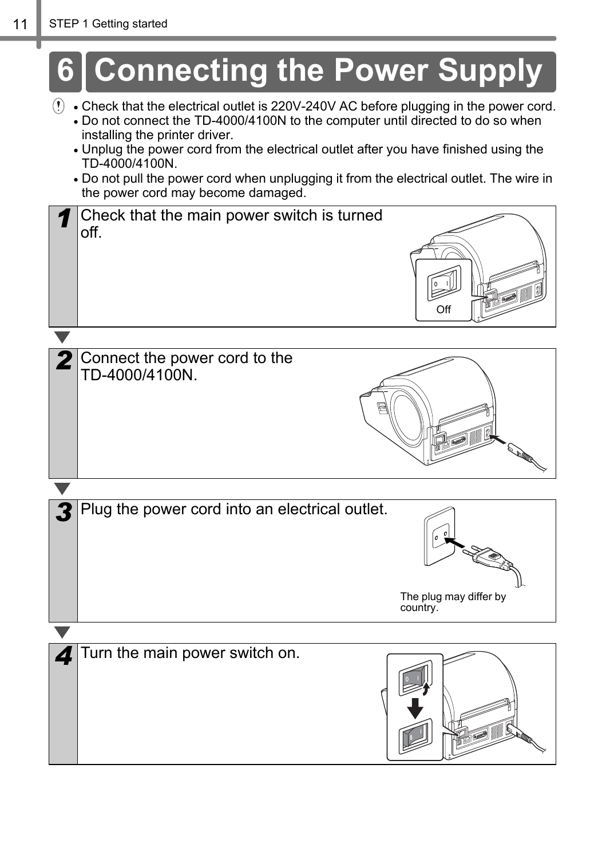<span id="page-13-0"></span>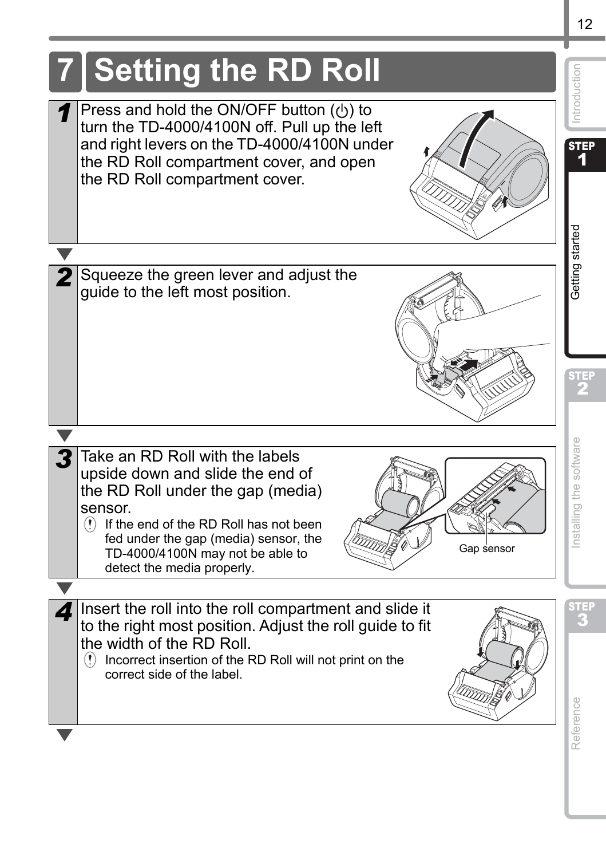<span id="page-14-1"></span><span id="page-14-0"></span>

12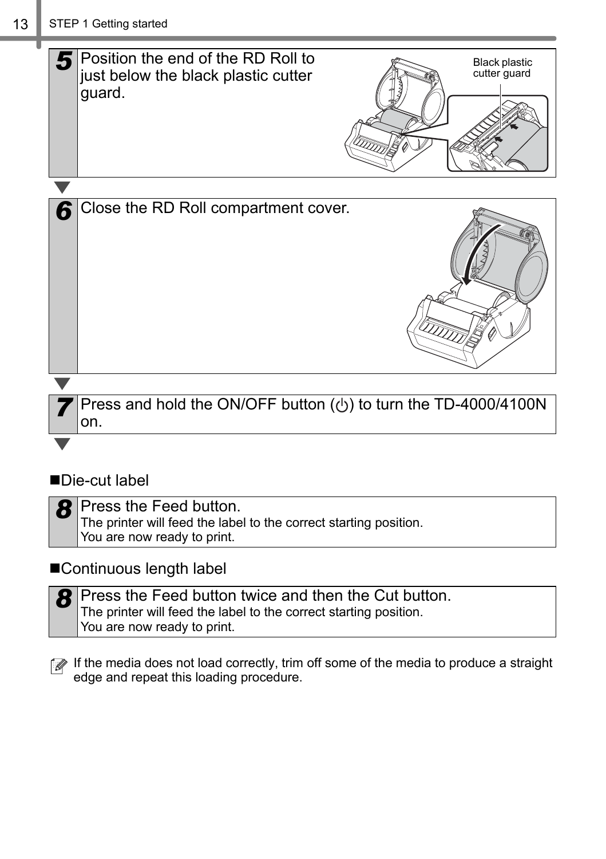

## ■Die-cut label

| $8$ Press the Feed button.                                        |
|-------------------------------------------------------------------|
| The printer will feed the label to the correct starting position. |
| You are now ready to print.                                       |

#### ■Continuous length label

| <b>8</b> Press the Feed button twice and then the Cut button.     |
|-------------------------------------------------------------------|
| The printer will feed the label to the correct starting position. |
| You are now ready to print.                                       |

If the media does not load correctly, trim off some of the media to produce a straight edge and repeat this loading procedure.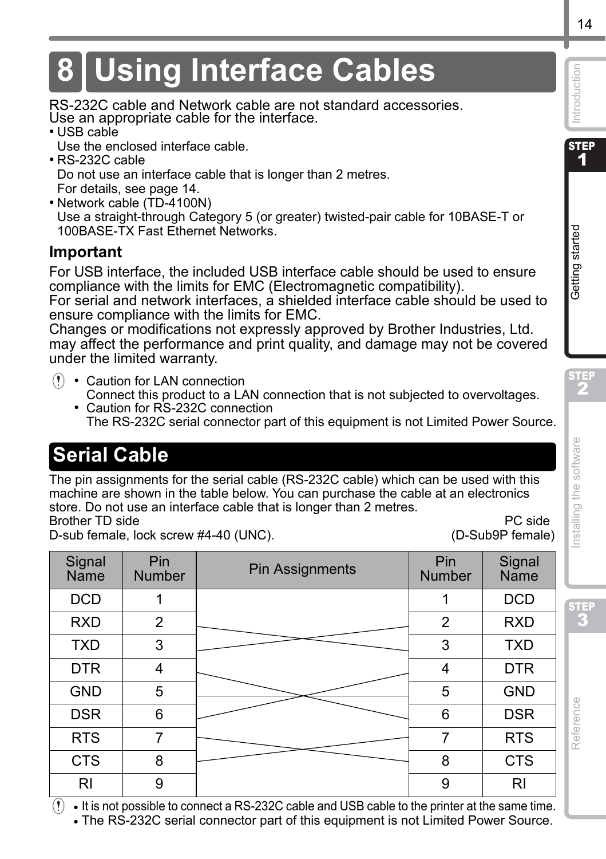# <span id="page-16-0"></span>**8 Using Interface Cables**

RS-232C cable and Network cable are not standard accessories. Use an appropriate cable for the interface.

- USB cable
	- Use the enclosed interface cable.
- RS-232C cable Do not use an interface cable that is longer than 2 metres.

For details, se[e page 14](#page-16-1).

• Network cable (TD-4100N)

Use a straight-through Category 5 (or greater) twisted-pair cable for 10BASE-T or 100BASE-TX Fast Ethernet Networks.

## **Important**

For USB interface, the included USB interface cable should be used to ensure compliance with the limits for EMC (Electromagnetic compatibility).

For serial and network interfaces, a shielded interface cable should be used to ensure compliance with the limits for EMC.

Changes or modifications not expressly approved by Brother Industries, Ltd. may affect the performance and print quality, and damage may not be covered under the limited warranty.

- Caution for LAN connection Connect this product to a LAN connection that is not subjected to overvoltages.
	- Caution for RS-232C connection The RS-232C serial connector part of this equipment is not Limited Power Source.

# <span id="page-16-1"></span>**Serial Cable**

The pin assignments for the serial cable (RS-232C cable) which can be used with this machine are shown in the table below. You can purchase the cable at an electronics store. Do not use an interface cable that is longer than 2 metres. Brother TD side **PC side** PC side PC side PC side PC side PC side PC side PC side PC side PC side PC side PC side PC side PC side PC side PC side PC side PC side PC side PC side PC side PC side PC side PC side PC side PC s

D-sub female, lock screw #4-40 (UNC). (D-Sub9P female)

| Signal<br>Name | Pin<br><b>Number</b> | Pin Assignments | Pin<br>Number  | Signal<br>Name |
|----------------|----------------------|-----------------|----------------|----------------|
| <b>DCD</b>     | 1                    |                 | 1              | <b>DCD</b>     |
| <b>RXD</b>     | $\overline{2}$       |                 | $\overline{2}$ | <b>RXD</b>     |
| <b>TXD</b>     | 3                    |                 | 3              | <b>TXD</b>     |
| <b>DTR</b>     | 4                    |                 | 4              | <b>DTR</b>     |
| <b>GND</b>     | 5                    |                 | 5              | <b>GND</b>     |
| <b>DSR</b>     | 6                    |                 | 6              | <b>DSR</b>     |
| <b>RTS</b>     | 7                    |                 | 7              | <b>RTS</b>     |
| <b>CTS</b>     | 8                    |                 | 8              | <b>CTS</b>     |
| RI             | 9                    |                 | 9              | RI             |

 $(!) \cdot$  It is not possible to connect a RS-232C cable and USB cable to the printer at the same time. • The RS-232C serial connector part of this equipment is not Limited Power Source.

**STEP** 1

Introduction

[Reference](#page-29-0) International Section of the software international computation of the software International Section of the software International Section of the software international computation of the software international **Deters during started in the Construction of the Construction of the Construction Started Started Started Started Started Started Started Started Started Started Started Started Started Started Started Started Started Sta** nstalling the software

STEP

Reference

STEP 2

Getting started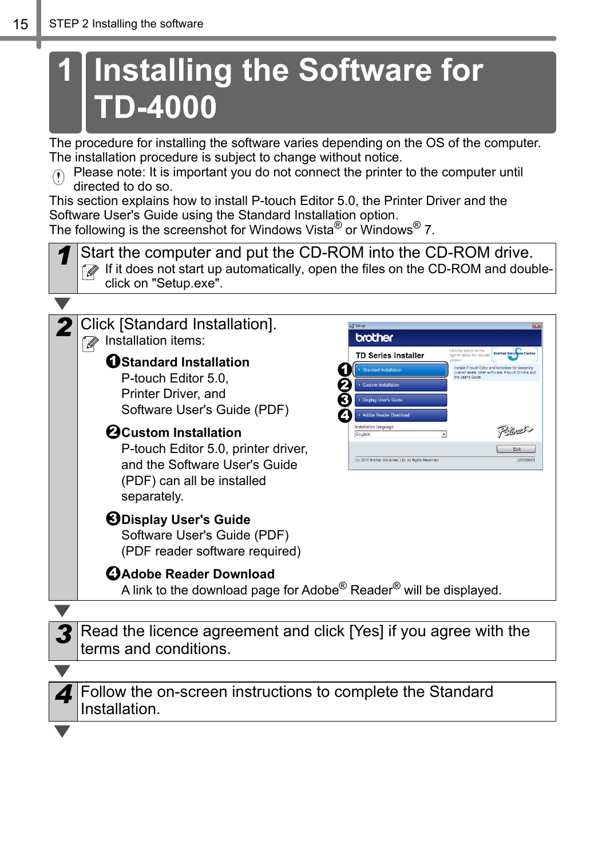# <span id="page-17-3"></span><span id="page-17-2"></span><span id="page-17-1"></span><span id="page-17-0"></span>**1 Installing the Software for TD-4000**

The procedure for installing the software varies depending on the OS of the computer. The installation procedure is subject to change without notice.

Please note: It is important you do not connect the printer to the computer until directed to do so.

This section explains how to install P-touch Editor 5.0, the Printer Driver and the Software User's Guide using the Standard Installation option.

The following is the screenshot for Windows Vista<sup>®</sup> or Windows<sup>®</sup> 7.



Follow the on-screen instructions to complete the Standard Installation.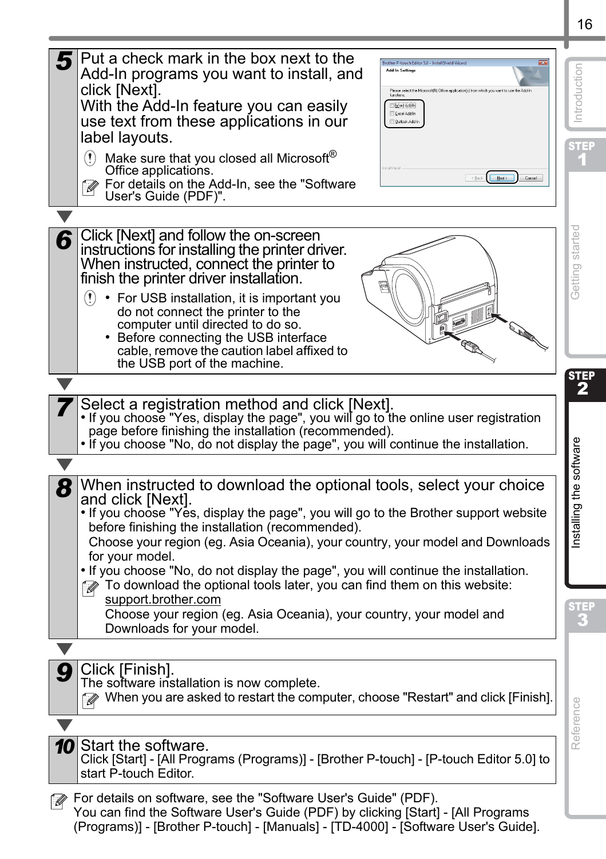| Put a check mark in the box next to the<br>Add-In programs you want to install, and<br>click [Next].<br>Please select the Microsoft[R] Office application(s) from which you want to use the Add-In<br>functions.<br>With the Add-In feature you can easily<br>Word Add In<br>Excel Add in<br>use text from these applications in our<br><b>Dutook Add in</b><br>label layouts.<br>$\Omega$<br>Make sure that you closed all Microsoft®<br>Office applications.          | ntroductior<br>5 TER                   |
|-------------------------------------------------------------------------------------------------------------------------------------------------------------------------------------------------------------------------------------------------------------------------------------------------------------------------------------------------------------------------------------------------------------------------------------------------------------------------|----------------------------------------|
| $\sim$ Back $\sim$ Mest ><br>Cancel<br>For details on the Add-In, see the "Software<br>User's Guide (PDF)".                                                                                                                                                                                                                                                                                                                                                             |                                        |
|                                                                                                                                                                                                                                                                                                                                                                                                                                                                         |                                        |
| Click [Next] and follow the on-screen<br>6<br>instructions for installing the printer driver.<br>When instructed, connect the printer to<br>finish the printer driver installation.<br>Ø<br>$\left( \mathbf{r} \right)$<br>• For USB installation, it is important you<br>do not connect the printer to the<br>computer until directed to do so.<br>• Before connecting the USB interface<br>cable, remove the caution label affixed to<br>the USB port of the machine. | started<br>Getting                     |
|                                                                                                                                                                                                                                                                                                                                                                                                                                                                         | <b>STEP</b><br>$\overline{\mathbf{2}}$ |
| Select a registration method and click [Next].<br>. If you choose "Yes, display the page", you will go to the online user registration<br>page before finishing the installation (recommended).<br>. If you choose "No, do not display the page", you will continue the installation.                                                                                                                                                                                   |                                        |
|                                                                                                                                                                                                                                                                                                                                                                                                                                                                         |                                        |
| When instructed to download the optional tools, select your choice<br>8<br>and click [Next].<br>. If you choose "Yes, display the page", you will go to the Brother support website<br>before finishing the installation (recommended).<br>Choose your region (eg. Asia Oceania), your country, your model and Downloads<br>for your model.                                                                                                                             | Installing the software                |
| . If you choose "No, do not display the page", you will continue the installation.<br>To download the optional tools later, you can find them on this website:<br>r (d                                                                                                                                                                                                                                                                                                  |                                        |
| support.brother.com<br>Choose your region (eg. Asia Oceania), your country, your model and<br>Downloads for your model.                                                                                                                                                                                                                                                                                                                                                 |                                        |
|                                                                                                                                                                                                                                                                                                                                                                                                                                                                         |                                        |
| Click [Finish].<br>The software installation is now complete<br>When you are asked to restart the computer, choose "Restart" and click [Finish].                                                                                                                                                                                                                                                                                                                        |                                        |
|                                                                                                                                                                                                                                                                                                                                                                                                                                                                         | Reference                              |
| <b>10</b> Start the software.<br>Click [Start] - [All Programs (Programs)] - [Brother P-touch] - [P-touch Editor 5.0] to<br>start P-touch Editor.                                                                                                                                                                                                                                                                                                                       |                                        |
| For details on software, see the "Software User's Guide" (PDF).<br>- Ol<br>You can find the Software User's Guide (PDF) by clicking [Start] - [All Programs<br>(Programs)] - [Brother P-touch] - [Manuals] - [TD-4000] - [Software User's Guide].                                                                                                                                                                                                                       |                                        |

16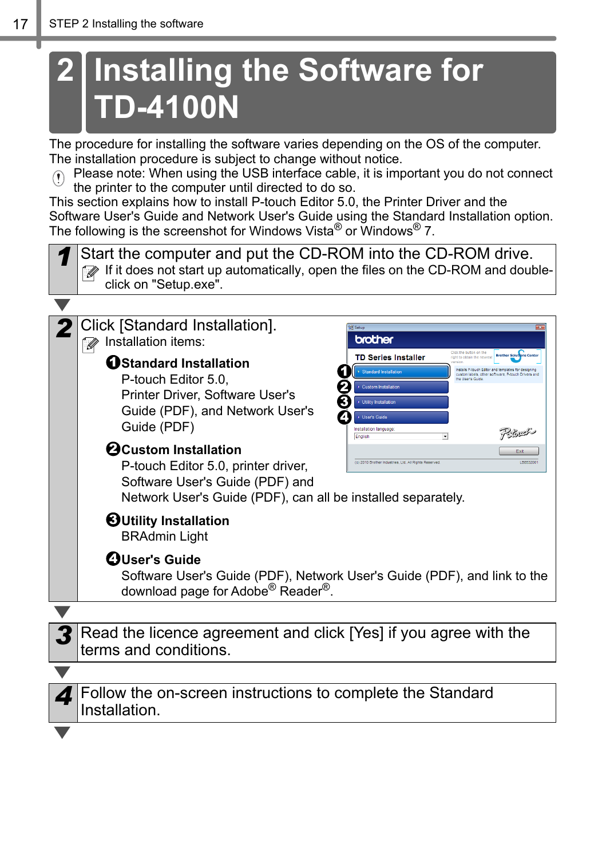# <span id="page-19-1"></span><span id="page-19-0"></span>**2 Installing the Software for TD-4100N**

The procedure for installing the software varies depending on the OS of the computer. The installation procedure is subject to change without notice.

Please note: When using the USB interface cable, it is important you do not connect the printer to the computer until directed to do so.

This section explains how to install P-touch Editor 5.0, the Printer Driver and the Software User's Guide and Network User's Guide using the Standard Installation option. The following is the screenshot for Windows Vista<sup>®</sup> or Windows<sup>®</sup> 7.

*1* Start the computer and put the CD-ROM into the CD-ROM drive. If it does not start up automatically, open the files on the CD-ROM and doubleclick on "Setup.exe".



*4* Follow the on-screen instructions to complete the Standard Installation.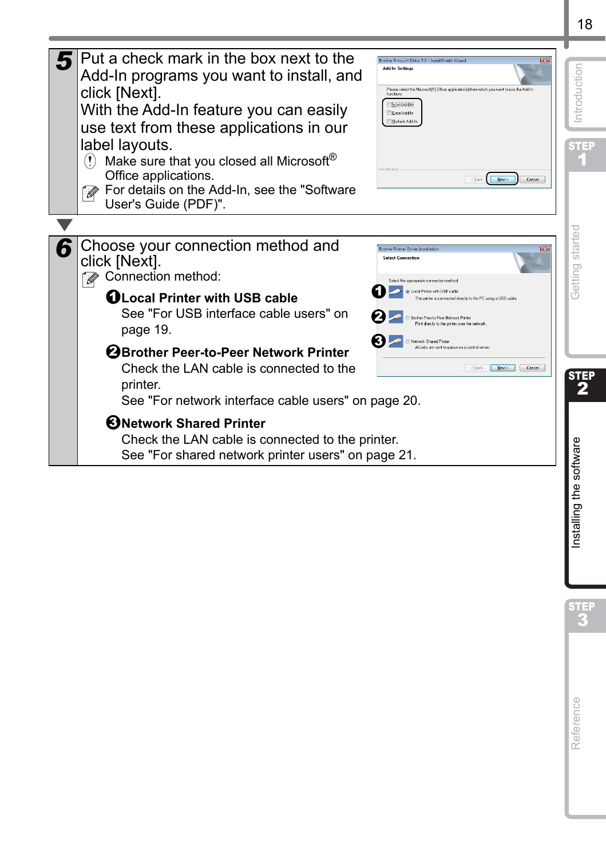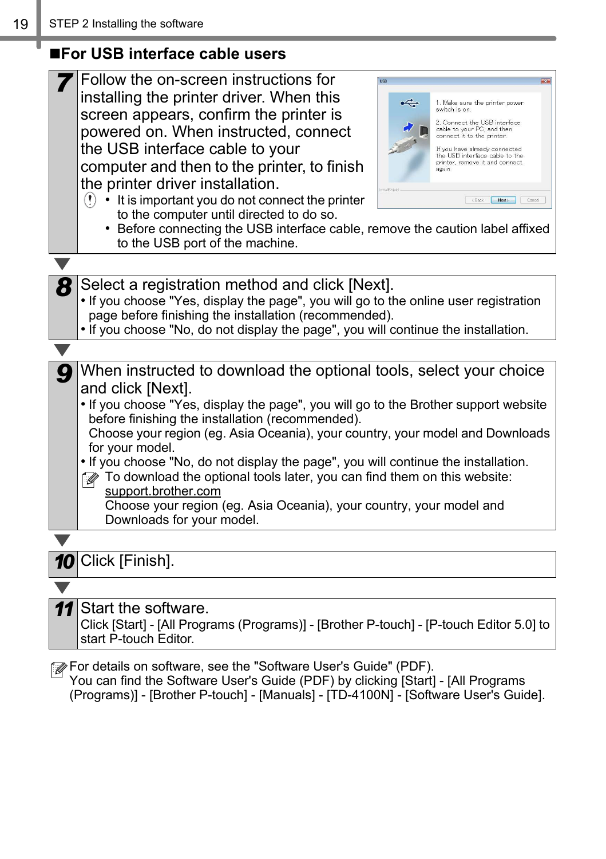## <span id="page-21-0"></span>**For USB interface cable users**

| Follow the on-screen instructions for                                                                 |
|-------------------------------------------------------------------------------------------------------|
| installing the printer driver. When this<br>$\leftarrow$<br>1. Make sure the printer power            |
| switch is on.<br>screen appears, confirm the printer is<br>2. Connect the USB interface               |
| cable to your PC, and then<br>powered on. When instructed, connect<br>connect it to the printer.      |
| the USB interface cable to your<br>If you have already connected<br>the USB interface cable to the    |
| printer, remove it and connect.<br>computer and then to the printer, to finish                        |
| the printer driver installation.                                                                      |
| $(!) \cdot$ It is important you do not connect the printer<br>$\langle$ Back<br>New><br>Cancel        |
| to the computer until directed to do so.                                                              |
| • Before connecting the USB interface cable, remove the caution label affixed                         |
| to the USB port of the machine.                                                                       |
|                                                                                                       |
| Select a registration method and click [Next].                                                        |
| . If you choose "Yes, display the page", you will go to the online user registration                  |
| page before finishing the installation (recommended).                                                 |
| . If you choose "No, do not display the page", you will continue the installation.                    |
|                                                                                                       |
| When instructed to download the optional tools, select your choice                                    |
| and click [Next].                                                                                     |
| . If you choose "Yes, display the page", you will go to the Brother support website                   |
| before finishing the installation (recommended).                                                      |
| Choose your region (eg. Asia Oceania), your country, your model and Downloads                         |
| for your model.<br>. If you choose "No, do not display the page", you will continue the installation. |
| To download the optional tools later, you can find them on this website:                              |
| support.brother.com                                                                                   |
| Choose your region (eg. Asia Oceania), your country, your model and                                   |
| Downloads for your model.                                                                             |
|                                                                                                       |
| 10 Click [Finish].                                                                                    |
|                                                                                                       |
| Start the software.<br>11                                                                             |
| Click [Start] - [All Programs (Programs)] - [Brother P-touch] - [P-touch Editor 5.0] to               |
| start P-touch Editor.                                                                                 |
|                                                                                                       |

You can find the Software User's Guide (PDF) by clicking [Start] - [All Programs (Programs)] - [Brother P-touch] - [Manuals] - [TD-4100N] - [Software User's Guide].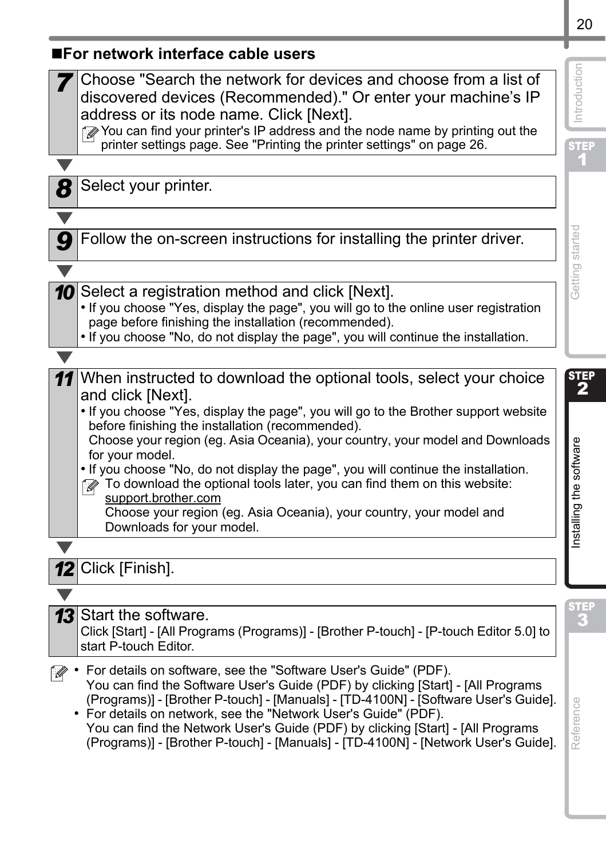<span id="page-22-0"></span>

| ■For network interface cable users                                                                                                                                                                                                                                                                                                                                                                                                                                                                                                                                                                                                                                      |                                             |
|-------------------------------------------------------------------------------------------------------------------------------------------------------------------------------------------------------------------------------------------------------------------------------------------------------------------------------------------------------------------------------------------------------------------------------------------------------------------------------------------------------------------------------------------------------------------------------------------------------------------------------------------------------------------------|---------------------------------------------|
| Choose "Search the network for devices and choose from a list of<br>discovered devices (Recommended)." Or enter your machine's IP<br>address or its node name. Click [Next].<br>You can find your printer's IP address and the node name by printing out the<br>printer settings page. See "Printing the printer settings" on page 26.                                                                                                                                                                                                                                                                                                                                  | Introduction<br>st <mark>ep</mark><br>1     |
|                                                                                                                                                                                                                                                                                                                                                                                                                                                                                                                                                                                                                                                                         |                                             |
| 8<br>Select your printer.                                                                                                                                                                                                                                                                                                                                                                                                                                                                                                                                                                                                                                               |                                             |
|                                                                                                                                                                                                                                                                                                                                                                                                                                                                                                                                                                                                                                                                         |                                             |
| Follow the on-screen instructions for installing the printer driver.                                                                                                                                                                                                                                                                                                                                                                                                                                                                                                                                                                                                    | Getting started                             |
|                                                                                                                                                                                                                                                                                                                                                                                                                                                                                                                                                                                                                                                                         |                                             |
| Select a registration method and click [Next].<br>10<br>. If you choose "Yes, display the page", you will go to the online user registration<br>page before finishing the installation (recommended).<br>. If you choose "No, do not display the page", you will continue the installation.                                                                                                                                                                                                                                                                                                                                                                             |                                             |
|                                                                                                                                                                                                                                                                                                                                                                                                                                                                                                                                                                                                                                                                         |                                             |
| When instructed to download the optional tools, select your choice<br>11<br>and click [Next].<br>. If you choose "Yes, display the page", you will go to the Brother support website<br>before finishing the installation (recommended).<br>Choose your region (eg. Asia Oceania), your country, your model and Downloads<br>for your model.<br>. If you choose "No, do not display the page", you will continue the installation.<br>To download the optional tools later, you can find them on this website:<br>support.brother.com<br>Choose your region (eg. Asia Oceania), your country, your model and<br>Downloads for your model.<br>Click [Finish].<br>$12 \,$ | <b>STEP</b><br>2<br>Installing the software |
|                                                                                                                                                                                                                                                                                                                                                                                                                                                                                                                                                                                                                                                                         |                                             |
| 13<br>Start the software.<br>Click [Start] - [All Programs (Programs)] - [Brother P-touch] - [P-touch Editor 5.0] to<br>start P-touch Editor.                                                                                                                                                                                                                                                                                                                                                                                                                                                                                                                           |                                             |
| For details on software, see the "Software User's Guide" (PDF).<br>Ø<br>You can find the Software User's Guide (PDF) by clicking [Start] - [All Programs<br>(Programs)] - [Brother P-touch] - [Manuals] - [TD-4100N] - [Software User's Guide].<br>• For details on network, see the "Network User's Guide" (PDF).<br>You can find the Network User's Guide (PDF) by clicking [Start] - [All Programs<br>(Programs)] - [Brother P-touch] - [Manuals] - [TD-4100N] - [Network User's Guide].                                                                                                                                                                             | Reference                                   |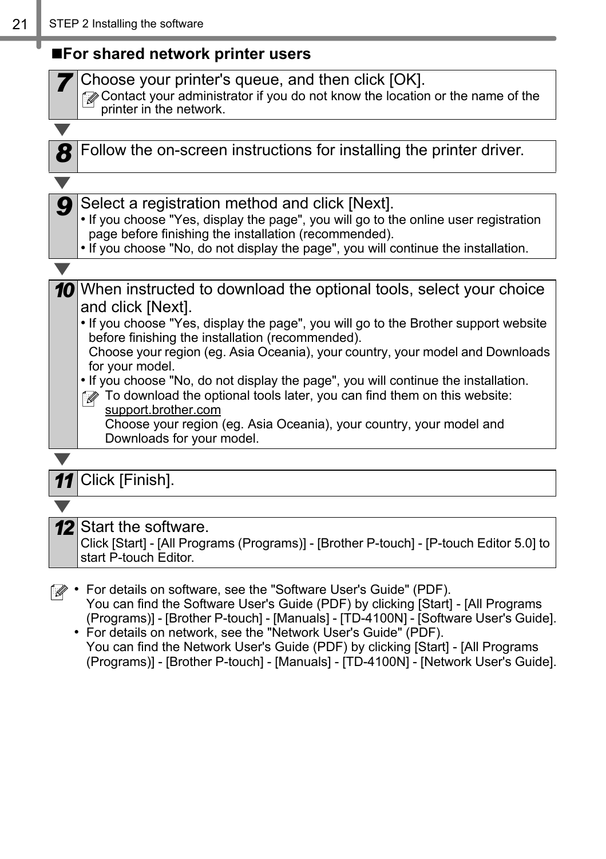## <span id="page-23-0"></span>**For shared network printer users**

|    | Choose your printer's queue, and then click [OK].<br>Contact your administrator if you do not know the location or the name of the<br>printer in the network.                                                                                                                                                                                                                                                                                                                                                                                                                                                                                 |
|----|-----------------------------------------------------------------------------------------------------------------------------------------------------------------------------------------------------------------------------------------------------------------------------------------------------------------------------------------------------------------------------------------------------------------------------------------------------------------------------------------------------------------------------------------------------------------------------------------------------------------------------------------------|
|    |                                                                                                                                                                                                                                                                                                                                                                                                                                                                                                                                                                                                                                               |
| 8  | Follow the on-screen instructions for installing the printer driver.                                                                                                                                                                                                                                                                                                                                                                                                                                                                                                                                                                          |
|    |                                                                                                                                                                                                                                                                                                                                                                                                                                                                                                                                                                                                                                               |
| g  | Select a registration method and click [Next].<br>. If you choose "Yes, display the page", you will go to the online user registration<br>page before finishing the installation (recommended).<br>. If you choose "No, do not display the page", you will continue the installation.                                                                                                                                                                                                                                                                                                                                                         |
|    |                                                                                                                                                                                                                                                                                                                                                                                                                                                                                                                                                                                                                                               |
|    | 10 When instructed to download the optional tools, select your choice<br>and click [Next].<br>. If you choose "Yes, display the page", you will go to the Brother support website<br>before finishing the installation (recommended).<br>Choose your region (eg. Asia Oceania), your country, your model and Downloads<br>for your model.<br>. If you choose "No, do not display the page", you will continue the installation.<br>To download the optional tools later, you can find them on this website:<br>( M<br>support.brother.com<br>Choose your region (eg. Asia Oceania), your country, your model and<br>Downloads for your model. |
| 11 | Click [Finish].                                                                                                                                                                                                                                                                                                                                                                                                                                                                                                                                                                                                                               |
|    |                                                                                                                                                                                                                                                                                                                                                                                                                                                                                                                                                                                                                                               |
|    |                                                                                                                                                                                                                                                                                                                                                                                                                                                                                                                                                                                                                                               |
|    | <b>12</b> Start the software.<br>Click [Start] - [All Programs (Programs)] - [Brother P-touch] - [P-touch Editor 5.0] to<br>start P-touch Editor.                                                                                                                                                                                                                                                                                                                                                                                                                                                                                             |
|    | For details on software, see the "Software User's Guide" (PDF).<br>You can find the Software User's Guide (PDF) by clicking [Start] - [All Programs<br>(Programs)] - [Brother P-touch] - [Manuals] - [TD-4100N] - [Software User's Guide].                                                                                                                                                                                                                                                                                                                                                                                                    |

• For details on network, see the "Network User's Guide" (PDF). You can find the Network User's Guide (PDF) by clicking [Start] - [All Programs (Programs)] - [Brother P-touch] - [Manuals] - [TD-4100N] - [Network User's Guide].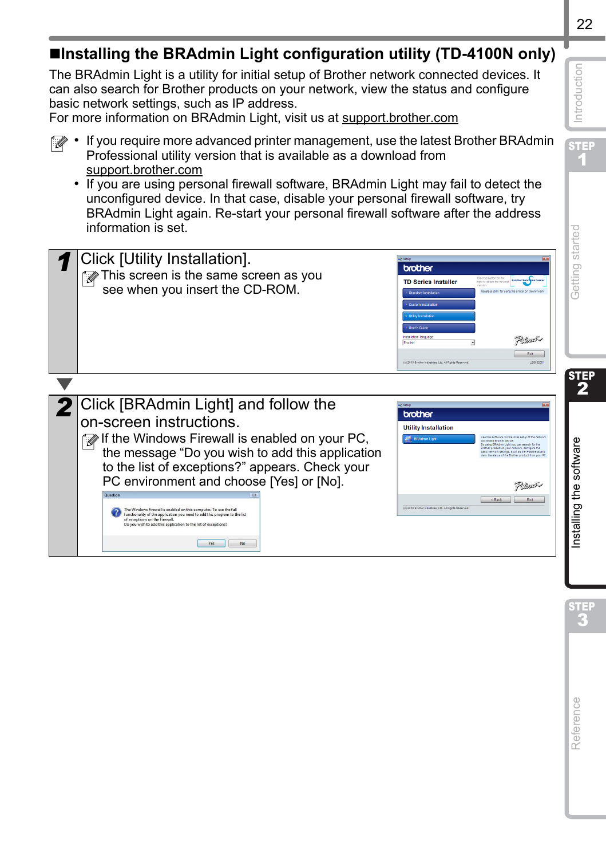| The BRAdmin Light is a utility for initial setup of Brother network connected devices. It<br>can also search for Brother products on your network, view the status and configure<br>basic network settings, such as IP address.<br>For more information on BRAdmin Light, visit us at support.brother.com                                                                                                                                                                                                                                                                                                                                                                                                                                    | Introduction                    |
|----------------------------------------------------------------------------------------------------------------------------------------------------------------------------------------------------------------------------------------------------------------------------------------------------------------------------------------------------------------------------------------------------------------------------------------------------------------------------------------------------------------------------------------------------------------------------------------------------------------------------------------------------------------------------------------------------------------------------------------------|---------------------------------|
| If you require more advanced printer management, use the latest Brother BRAdmin<br>Professional utility version that is available as a download from<br>support.brother.com<br>• If you are using personal firewall software, BRAdmin Light may fail to detect the<br>unconfigured device. In that case, disable your personal firewall software, try<br>BRAdmin Light again. Re-start your personal firewall software after the address<br>information is set.                                                                                                                                                                                                                                                                              | <b>STEP</b>                     |
| Click [Utility Installation].<br>brother<br>This screen is the same screen as you<br>e-F<br><b>TD Series Installer</b><br>see when you insert the CD-ROM.<br>Polach<br>Exit = 1<br>(c) 2018 Brother Industries, Ltd. All Rights                                                                                                                                                                                                                                                                                                                                                                                                                                                                                                              | Getting started                 |
|                                                                                                                                                                                                                                                                                                                                                                                                                                                                                                                                                                                                                                                                                                                                              | STEP<br>$\overline{\mathbf{2}}$ |
| Click [BRAdmin Light] and follow the<br>brother<br>on-screen instructions.<br><b>Utility Installation</b><br>If the Windows Firewall is enabled on your PC,<br>the message "Do you wish to add this application<br>to the list of exceptions?" appears. Check your<br>PC environment and choose [Yes] or [No].<br>Polocial<br>$\begin{array}{ c c c c c }\n\hline\n\text{Edd} & & \text{Edd} \\ \hline\n\end{array}$<br>(c) 2015 Brother Industries, Ltd. All Rights Reserve<br>The Windows Firewall is enabled on this computer. To use the full<br>functionality of the application you need to add this program to the list<br>of exceptions on the Firewall.<br>Do you wish to add this application to the list of exceptions?<br>Yes No | Installing the software         |
|                                                                                                                                                                                                                                                                                                                                                                                                                                                                                                                                                                                                                                                                                                                                              |                                 |
|                                                                                                                                                                                                                                                                                                                                                                                                                                                                                                                                                                                                                                                                                                                                              | eference                        |

**Installing the BRAdmin Light configuration utility (TD-4100N only)**

## 22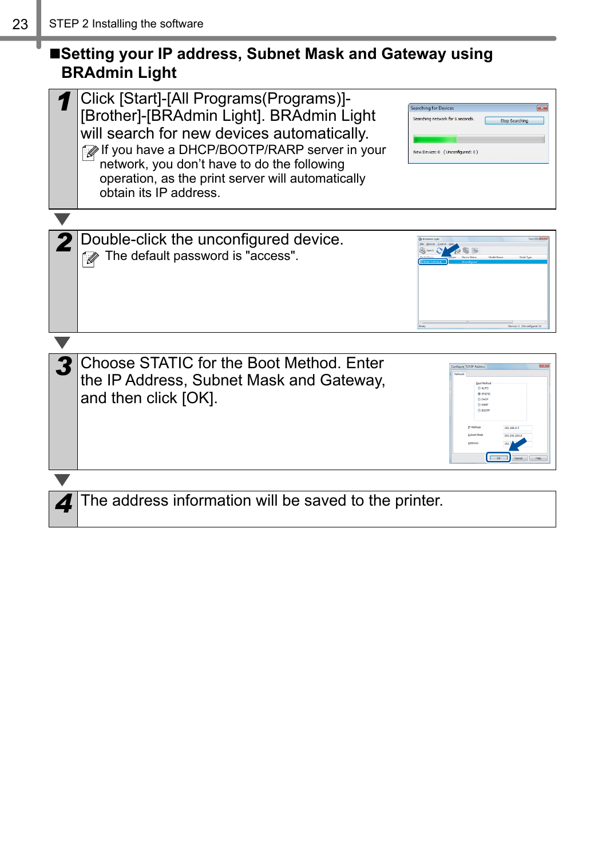## ■Setting your IP address, Subnet Mask and Gateway using **BRAdmin Light**

| Click [Start]-[All Programs(Programs)]-<br>[Brother]-[BRAdmin Light]. BRAdmin Light<br>will search for new devices automatically.<br>f If you have a DHCP/BOOTP/RARP server in your<br>network, you don't have to do the following<br>operation, as the print server will automatically<br>obtain its IP address. | <b>Searching for Devices</b><br>Searching network for 6 seconds.<br>Stop Searching<br>New Device: 0 (Unconfigured: 0) |
|-------------------------------------------------------------------------------------------------------------------------------------------------------------------------------------------------------------------------------------------------------------------------------------------------------------------|-----------------------------------------------------------------------------------------------------------------------|
|                                                                                                                                                                                                                                                                                                                   |                                                                                                                       |
| Double-click the unconfigured device.<br>The default password is "access".                                                                                                                                                                                                                                        |                                                                                                                       |
|                                                                                                                                                                                                                                                                                                                   |                                                                                                                       |
| Choose STATIC for the Boot Method. Enter<br>the IP Address, Subnet Mask and Gateway,<br>and then click [OK].                                                                                                                                                                                                      | re TCP/IP Addres<br>@ AUTO<br><b>@ STATIC</b><br>100.000.01                                                           |
|                                                                                                                                                                                                                                                                                                                   |                                                                                                                       |
| The address information will be saved to the printer.                                                                                                                                                                                                                                                             |                                                                                                                       |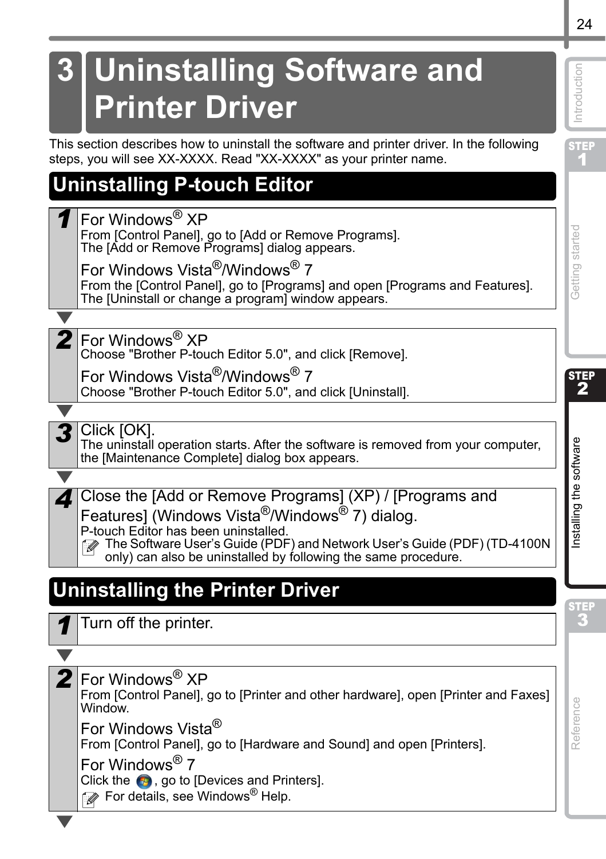# <span id="page-26-0"></span>**3 Uninstalling Software and Printer Driver**

This section describes how to uninstall the software and printer driver. In the following steps, you will see XX-XXXX. Read "XX-XXXX" as your printer name.

# <span id="page-26-1"></span>**Uninstalling P-touch Editor**

*1* For Windows® XP

From [Control Panel], go to [Add or Remove Programs]. The [Add or Remove Programs] dialog appears.

For Windows Vista®/Windows® 7 From the [Control Panel], go to [Programs] and open [Programs and Features]. The [Uninstall or change a program] window appears.

2 For Windows<sup>®</sup> XP

Choose "Brother P-touch Editor 5.0", and click [Remove].

For Windows Vista®/Windows® 7 Choose "Brother P-touch Editor 5.0", and click [Uninstall].

**3** Click [OK].

The uninstall operation starts. After the software is removed from your computer, the [Maintenance Complete] dialog box appears.

*4* Close the [Add or Remove Programs] (XP) / [Programs and Features] (Windows Vista<sup>®</sup>/Windows<sup>®</sup> 7) dialog.

P-touch Editor has been uninstalled.

The Software User's Guide (PDF) and Network User's Guide (PDF) (TD-4100N only) can also be uninstalled by following the same procedure.

# <span id="page-26-2"></span>**Uninstalling the Printer Driver**

*1* Turn off the printer.

2 For Windows<sup>®</sup> XP

From [Control Panel], go to [Printer and other hardware], open [Printer and Faxes] Window.

For Windows Vista®

From [Control Panel], go to [Hardware and Sound] and open [Printers].

For Windows® 7

Click the  $\bigoplus$ , go to [Devices and Printers].

 $\mathbb{Z}$  For details, see Windows<sup>®</sup> Help.

[Reference](#page-29-0) [Installing the software](#page-17-1) Integration of the software integration of the software integration of the software integration of the software integration of the software integration of the software integration of the Reference

STEP

STEP 1

Getting started

ntroduction

STEP 2

 $\mathbf{E}$  and  $\mathbf{E}$  and  $\mathbf{E}$  and  $\mathbf{E}$  and  $\mathbf{E}$  and  $\mathbf{E}$  are  $\mathbf{E}$  and  $\mathbf{E}$  and  $\mathbf{E}$  and  $\mathbf{E}$  and  $\mathbf{E}$  and  $\mathbf{E}$  and  $\mathbf{E}$  and  $\mathbf{E}$  and  $\mathbf{E}$  and  $\mathbf{E}$  and  $\mathbf{E}$  and

nstalling the software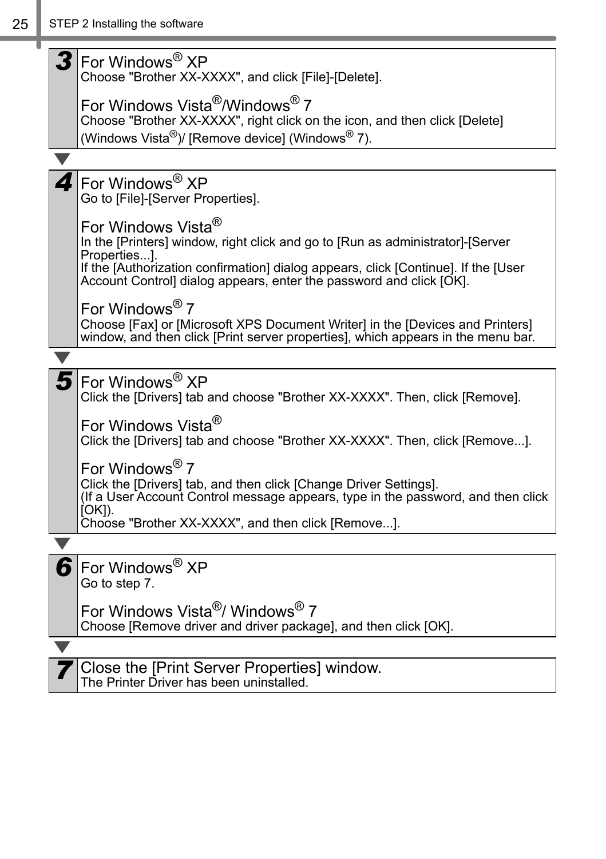| For Windows <sup>®</sup> XP<br>Choose "Brother XX-XXXX", and click [File]-[Delete].                                                                                                             |
|-------------------------------------------------------------------------------------------------------------------------------------------------------------------------------------------------|
| For Windows Vista <sup>®</sup> /Windows <sup>®</sup> 7<br>Choose "Brother XX-XXXX", right click on the icon, and then click [Delete]<br>(Windows Vista®)/ [Remove device] (Windows® 7).         |
|                                                                                                                                                                                                 |
| For Windows <sup>®</sup> XP<br>Go to [File]-[Server Properties].                                                                                                                                |
| For Windows Vista <sup>®</sup><br>In the [Printers] window, right click and go to [Run as administrator]-[Server<br>Properties].                                                                |
| If the [Authorization confirmation] dialog appears, click [Continue]. If the [User<br>Account Controll dialog appears, enter the password and click [OK].                                       |
| For Windows <sup>®</sup> 7<br>Choose [Fax] or [Microsoft XPS Document Writer] in the [Devices and Printers]<br>window, and then click [Print server properties], which appears in the menu bar. |
|                                                                                                                                                                                                 |
| For Windows <sup>®</sup> XP<br>Click the [Drivers] tab and choose "Brother XX-XXXX". Then, click [Remove].                                                                                      |
| For Windows Vista <sup>®</sup><br>Click the [Drivers] tab and choose "Brother XX-XXXX". Then, click [Remove].                                                                                   |
| For Windows <sup>®</sup> 7                                                                                                                                                                      |
| Click the [Drivers] tab, and then click [Change Driver Settings].<br>(If a User Account Control message appears, type in the password, and then click<br>$[OK]$ ).                              |
| Choose "Brother XX-XXXX", and then click [Remove].                                                                                                                                              |
|                                                                                                                                                                                                 |
| For Windows <sup>®</sup> XP<br>Go to step 7.                                                                                                                                                    |
| For Windows Vista <sup>®</sup> / Windows <sup>®</sup> 7<br>Choose [Remove driver and driver package], and then click [OK].                                                                      |
|                                                                                                                                                                                                 |
| Close the [Print Server Properties] window.<br>The Printer Driver has been uninstalled.                                                                                                         |

the control of the control of the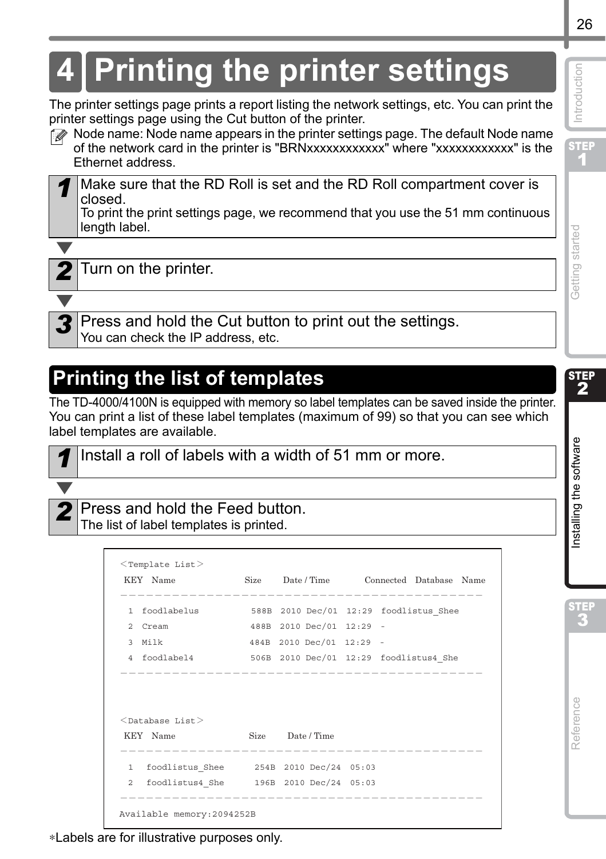# <span id="page-28-0"></span>**4 Printing the printer settings**

The printer settings page prints a report listing the network settings, etc. You can print the printer settings page using the Cut button of the printer.



*1* Make sure that the RD Roll is set and the RD Roll compartment cover is closed.

To print the print settings page, we recommend that you use the 51 mm continuous length label.



*2* Turn on the printer.

*3* Press and hold the Cut button to print out the settings. You can check the IP address, etc.

# <span id="page-28-1"></span>**Printing the list of templates**

The TD-4000/4100N is equipped with memory so label templates can be saved inside the printer. You can print a list of these label templates (maximum of 99) so that you can see which label templates are available.



*1* Install a roll of labels with a width of 51 mm or more.

#### *2* Press and hold the Feed button. The list of label templates is printed.

| $<$ Template List $>$<br>KEY Name                                  | Size Date/Time Connected Database Name | -------------- |  |  |
|--------------------------------------------------------------------|----------------------------------------|----------------|--|--|
| foodlabelus 588B 2010 Dec/01 12:29 foodlistus Shee<br>$\mathbf{1}$ |                                        |                |  |  |
| Cream<br>2.                                                        | 488B 2010 Dec/01 12:29 -               |                |  |  |
| 3 Milk                                                             | 484B 2010 Dec/01 12:29 -               |                |  |  |
| 4 foodlabel4 506B 2010 Dec/01 12:29 foodlistus4 She                |                                        |                |  |  |
| $<$ Database List $>$                                              |                                        |                |  |  |
| KEY Name                                                           | Size Date / Time                       |                |  |  |
|                                                                    |                                        |                |  |  |
| foodlistus4 She   196B   2010 Dec/24   05:03<br>$2^{\circ}$        |                                        |                |  |  |
| Available memory: 2094252B                                         |                                        |                |  |  |

**STEP** 1

Introduction

STEP

∗Labels are for illustrative purposes only.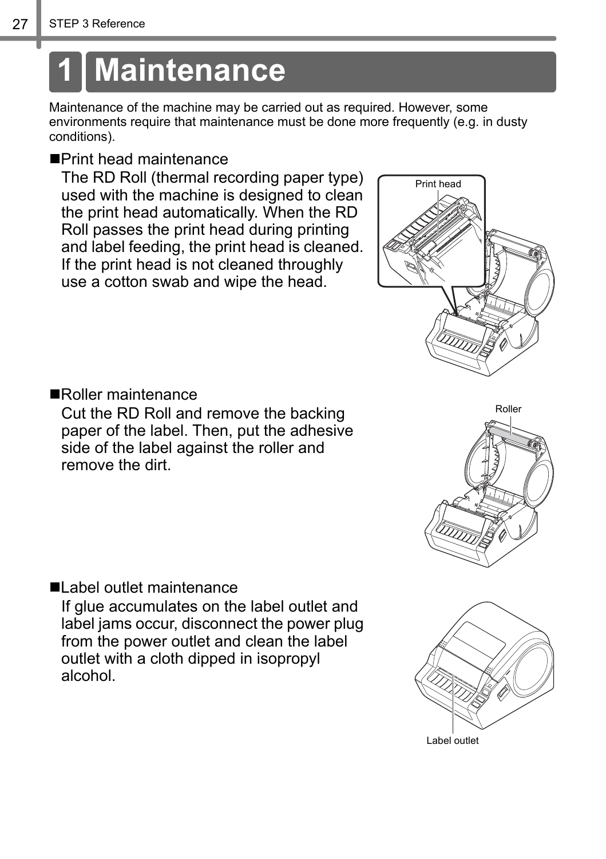# <span id="page-29-2"></span><span id="page-29-1"></span><span id="page-29-0"></span>**1 Maintenance**

Maintenance of the machine may be carried out as required. However, some environments require that maintenance must be done more frequently (e.g. in dusty conditions).

#### Print head maintenance

The RD Roll (thermal recording paper type) used with the machine is designed to clean the print head automatically. When the RD Roll passes the print head during printing and label feeding, the print head is cleaned. If the print head is not cleaned throughly use a cotton swab and wipe the head.

<span id="page-29-3"></span>

Cut the RD Roll and remove the backing paper of the label. Then, put the adhesive side of the label against the roller and remove the dirt.

Label outlet maintenance If glue accumulates on the label outlet and

label jams occur, disconnect the power plug from the power outlet and clean the label outlet with a cloth dipped in isopropyl alcohol.





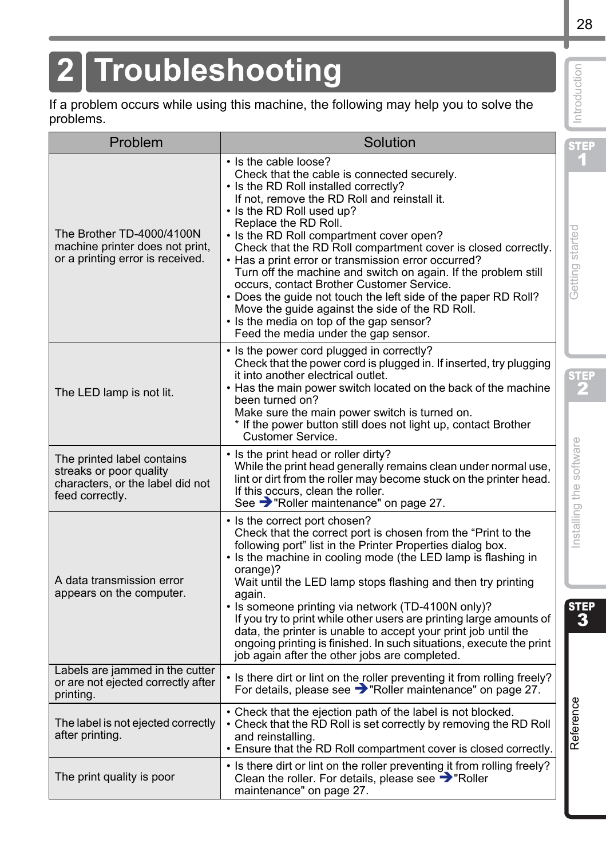# <span id="page-30-0"></span>**2 Troubleshooting**

| Troubleshooting                                                                                              |                                                                                                                                                                                                                                                                                                                                                                                                                                                                                                                                                                                                                                                                                                                | Introduction            |
|--------------------------------------------------------------------------------------------------------------|----------------------------------------------------------------------------------------------------------------------------------------------------------------------------------------------------------------------------------------------------------------------------------------------------------------------------------------------------------------------------------------------------------------------------------------------------------------------------------------------------------------------------------------------------------------------------------------------------------------------------------------------------------------------------------------------------------------|-------------------------|
| problems.                                                                                                    | If a problem occurs while using this machine, the following may help you to solve the                                                                                                                                                                                                                                                                                                                                                                                                                                                                                                                                                                                                                          |                         |
| Problem                                                                                                      | Solution                                                                                                                                                                                                                                                                                                                                                                                                                                                                                                                                                                                                                                                                                                       | step<br>1               |
| The Brother TD-4000/4100N<br>machine printer does not print,<br>or a printing error is received.             | • Is the cable loose?<br>Check that the cable is connected securely.<br>• Is the RD Roll installed correctly?<br>If not, remove the RD Roll and reinstall it.<br>• Is the RD Roll used up?<br>Replace the RD Roll.<br>• Is the RD Roll compartment cover open?<br>Check that the RD Roll compartment cover is closed correctly.<br>• Has a print error or transmission error occurred?<br>Turn off the machine and switch on again. If the problem still<br>occurs, contact Brother Customer Service.<br>. Does the guide not touch the left side of the paper RD Roll?<br>Move the quide against the side of the RD Roll.<br>• Is the media on top of the gap sensor?<br>Feed the media under the gap sensor. | Getting started         |
| The LED lamp is not lit.                                                                                     | • Is the power cord plugged in correctly?<br>Check that the power cord is plugged in. If inserted, try plugging<br>it into another electrical outlet.<br>. Has the main power switch located on the back of the machine<br>been turned on?<br>Make sure the main power switch is turned on.<br>* If the power button still does not light up, contact Brother<br>Customer Service.                                                                                                                                                                                                                                                                                                                             | <b>STEP</b>             |
| The printed label contains<br>streaks or poor quality<br>characters, or the label did not<br>feed correctly. | • Is the print head or roller dirty?<br>While the print head generally remains clean under normal use,<br>lint or dirt from the roller may become stuck on the printer head.<br>If this occurs, clean the roller.<br>See > "Roller maintenance" on page 27.                                                                                                                                                                                                                                                                                                                                                                                                                                                    | Installing the software |
| A data transmission error<br>appears on the computer.                                                        | • Is the correct port chosen?<br>Check that the correct port is chosen from the "Print to the<br>following port" list in the Printer Properties dialog box.<br>. Is the machine in cooling mode (the LED lamp is flashing in<br>orange)?<br>Wait until the LED lamp stops flashing and then try printing<br>again.<br>• Is someone printing via network (TD-4100N only)?<br>If you try to print while other users are printing large amounts of<br>data, the printer is unable to accept your print job until the<br>ongoing printing is finished. In such situations, execute the print<br>job again after the other jobs are completed.                                                                      | step<br>3               |
| Labels are jammed in the cutter<br>or are not ejected correctly after<br>printing.                           | • Is there dirt or lint on the roller preventing it from rolling freely?<br>For details, please see > "Roller maintenance" on page 27.                                                                                                                                                                                                                                                                                                                                                                                                                                                                                                                                                                         |                         |
| The label is not ejected correctly<br>after printing.                                                        | • Check that the ejection path of the label is not blocked.<br>• Check that the RD Roll is set correctly by removing the RD Roll<br>and reinstalling.<br>. Ensure that the RD Roll compartment cover is closed correctly.                                                                                                                                                                                                                                                                                                                                                                                                                                                                                      | Reference               |
| The print quality is poor                                                                                    | • Is there dirt or lint on the roller preventing it from rolling freely?<br>Clean the roller. For details, please see $\rightarrow$ "Roller<br>maintenance" on page 27.                                                                                                                                                                                                                                                                                                                                                                                                                                                                                                                                        |                         |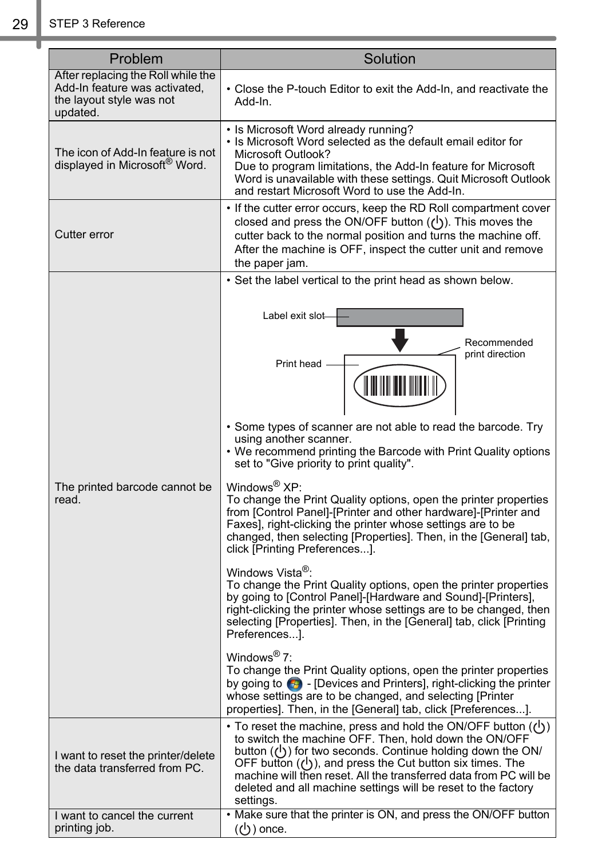| Problem                                                                                                     | Solution                                                                                                                                                                                                                                                                                                                                                                                                               |
|-------------------------------------------------------------------------------------------------------------|------------------------------------------------------------------------------------------------------------------------------------------------------------------------------------------------------------------------------------------------------------------------------------------------------------------------------------------------------------------------------------------------------------------------|
| After replacing the Roll while the<br>Add-In feature was activated,<br>the layout style was not<br>updated. | • Close the P-touch Editor to exit the Add-In, and reactivate the<br>Add-In.                                                                                                                                                                                                                                                                                                                                           |
| The icon of Add-In feature is not<br>displayed in Microsoft <sup>®</sup> Word.                              | • Is Microsoft Word already running?<br>. Is Microsoft Word selected as the default email editor for<br>Microsoft Outlook?<br>Due to program limitations, the Add-In feature for Microsoft<br>Word is unavailable with these settings. Quit Microsoft Outlook<br>and restart Microsoft Word to use the Add-In.                                                                                                         |
| Cutter error                                                                                                | • If the cutter error occurs, keep the RD Roll compartment cover<br>closed and press the ON/OFF button $(1)$ ). This moves the<br>cutter back to the normal position and turns the machine off.<br>After the machine is OFF, inspect the cutter unit and remove<br>the paper jam.                                                                                                                                      |
|                                                                                                             | • Set the label vertical to the print head as shown below.                                                                                                                                                                                                                                                                                                                                                             |
|                                                                                                             | Label exit slot<br>Recommended<br>print direction<br>Print head<br>• Some types of scanner are not able to read the barcode. Try                                                                                                                                                                                                                                                                                       |
| The printed barcode cannot be                                                                               | using another scanner.<br>• We recommend printing the Barcode with Print Quality options<br>set to "Give priority to print quality".<br>Windows <sup>®</sup> XP:                                                                                                                                                                                                                                                       |
| read.                                                                                                       | To change the Print Quality options, open the printer properties<br>from [Control Panel]-[Printer and other hardware]-[Printer and<br>Faxes], right-clicking the printer whose settings are to be<br>changed, then selecting [Properties]. Then, in the [General] tab,<br>click [Printing Preferences].                                                                                                                |
|                                                                                                             | Windows Vista <sup>®</sup> :<br>To change the Print Quality options, open the printer properties<br>by going to [Control Panel]-[Hardware and Sound]-[Printers],<br>right-clicking the printer whose settings are to be changed, then<br>selecting [Properties]. Then, in the [General] tab, click [Printing<br>Preferences].                                                                                          |
|                                                                                                             | Windows <sup>®</sup> 7:<br>To change the Print Quality options, open the printer properties<br>by going to $\bigoplus$ - [Devices and Printers], right-clicking the printer<br>whose settings are to be changed, and selecting [Printer]<br>properties]. Then, in the [General] tab, click [Preferences].                                                                                                              |
| I want to reset the printer/delete<br>the data transferred from PC.                                         | • To reset the machine, press and hold the ON/OFF button $(2)$ )<br>to switch the machine OFF. Then, hold down the ON/OFF<br>button $(\bigcup)$ for two seconds. Continue holding down the ON/<br>OFF button ( $\bigcup$ ), and press the Cut button six times. The<br>machine will then reset. All the transferred data from PC will be<br>deleted and all machine settings will be reset to the factory<br>settings. |
| I want to cancel the current<br>printing job.                                                               | . Make sure that the printer is ON, and press the ON/OFF button<br>$(1)$ ) once.                                                                                                                                                                                                                                                                                                                                       |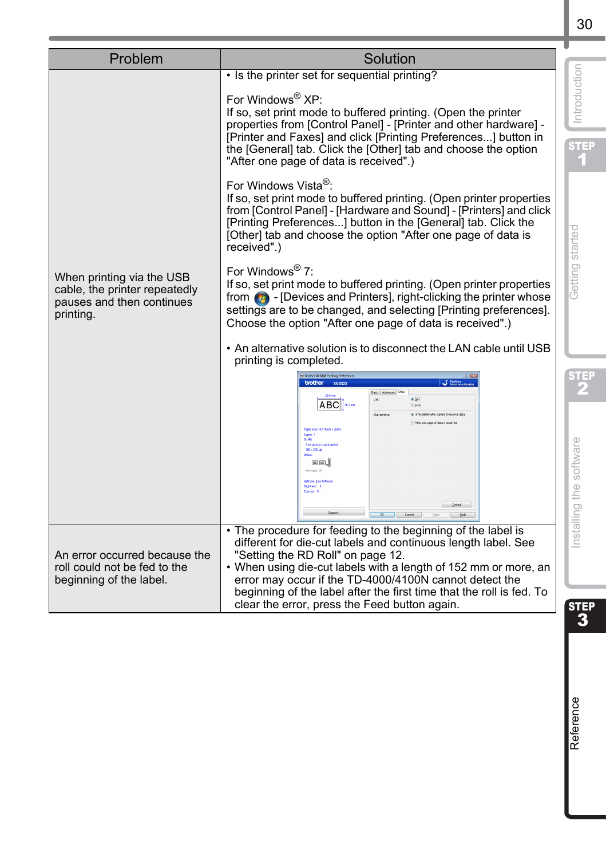| Problem                                                                                              | Solution                                                                                                                                                                                                                                                                                                                                                                                                               |                         |
|------------------------------------------------------------------------------------------------------|------------------------------------------------------------------------------------------------------------------------------------------------------------------------------------------------------------------------------------------------------------------------------------------------------------------------------------------------------------------------------------------------------------------------|-------------------------|
|                                                                                                      | • Is the printer set for sequential printing?                                                                                                                                                                                                                                                                                                                                                                          |                         |
|                                                                                                      | For Windows <sup>®</sup> XP:<br>If so, set print mode to buffered printing. (Open the printer<br>properties from [Control Panel] - [Printer and other hardware] -<br>[Printer and Faxes] and click [Printing Preferences] button in<br>the [General] tab. Click the [Other] tab and choose the option<br>"After one page of data is received".)                                                                        | Introduction<br>STEP    |
|                                                                                                      | For Windows Vista <sup>®</sup> :<br>If so, set print mode to buffered printing. (Open printer properties<br>from [Control Panel] - [Hardware and Sound] - [Printers] and click<br>[Printing Preferences] button in the [General] tab. Click the<br>[Other] tab and choose the option "After one page of data is<br>received".)                                                                                         |                         |
| When printing via the USB<br>cable, the printer repeatedly<br>pauses and then continues<br>printing. | For Windows <sup>®</sup> 7:<br>If so, set print mode to buffered printing. (Open printer properties<br>from $\bigcirc$ - [Devices and Printers], right-clicking the printer whose<br>settings are to be changed, and selecting [Printing preferences].<br>Choose the option "After one page of data is received".)                                                                                                     | Getting started         |
|                                                                                                      | • An alternative solution is to disconnect the LAN cable until USB<br>printing is completed.                                                                                                                                                                                                                                                                                                                           |                         |
|                                                                                                      | E Brother XX-XXXX Printing Prefe<br>brother xxxxx                                                                                                                                                                                                                                                                                                                                                                      | 3 I E S                 |
|                                                                                                      | Basic Advanced<br>ABC <sup>N2</sup> m<br>Olivé<br>Start pinting<br>di Intredatela alter station to receive dat<br>800 x 300 de<br><b>EBE</b> .<br>Default<br>$OR$ $\Box$ $\Box$                                                                                                                                                                                                                                        | Installing the software |
| An error occurred because the<br>roll could not be fed to the<br>beginning of the label.             | The procedure for feeding to the beginning of the label is<br>different for die-cut labels and continuous length label. See<br>"Setting the RD Roll" on page 12.<br>• When using die-cut labels with a length of 152 mm or more, an<br>error may occur if the TD-4000/4100N cannot detect the<br>beginning of the label after the first time that the roll is fed. To<br>clear the error, press the Feed button again. | STEP                    |
|                                                                                                      |                                                                                                                                                                                                                                                                                                                                                                                                                        | $\overline{\mathbf{3}}$ |
|                                                                                                      |                                                                                                                                                                                                                                                                                                                                                                                                                        | Reference               |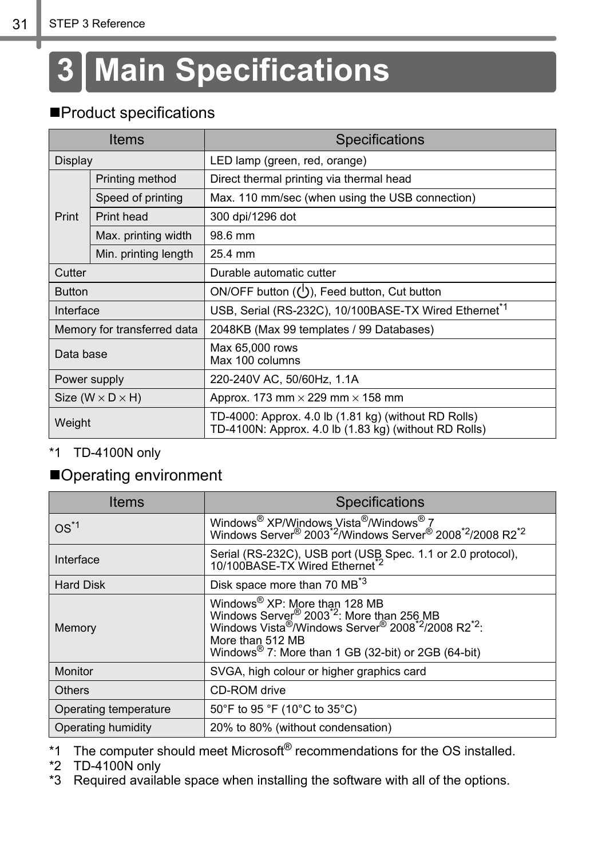# <span id="page-33-0"></span>**3 Main Specifications**

## **Product specifications**

|               | <b>Items</b>                   | Specifications                                                                                                |
|---------------|--------------------------------|---------------------------------------------------------------------------------------------------------------|
| Display       |                                | LED lamp (green, red, orange)                                                                                 |
|               | Printing method                | Direct thermal printing via thermal head                                                                      |
|               | Speed of printing              | Max. 110 mm/sec (when using the USB connection)                                                               |
| Print         | Print head                     | 300 dpi/1296 dot                                                                                              |
|               | Max. printing width            | 98.6 mm                                                                                                       |
|               | Min. printing length           | 25.4 mm                                                                                                       |
| Cutter        |                                | Durable automatic cutter                                                                                      |
| <b>Button</b> |                                | ON/OFF button $(1)$ , Feed button, Cut button                                                                 |
| Interface     |                                | USB, Serial (RS-232C), 10/100BASE-TX Wired Ethernet <sup>*1</sup>                                             |
|               | Memory for transferred data    | 2048KB (Max 99 templates / 99 Databases)                                                                      |
| Data base     |                                | Max 65,000 rows<br>Max 100 columns                                                                            |
|               | Power supply                   | 220-240V AC, 50/60Hz, 1.1A                                                                                    |
|               | Size ( $W \times D \times H$ ) | Approx. 173 mm $\times$ 229 mm $\times$ 158 mm                                                                |
| Weight        |                                | TD-4000: Approx. 4.0 lb (1.81 kg) (without RD Rolls)<br>TD-4100N: Approx. 4.0 lb (1.83 kg) (without RD Rolls) |

#### \*1 TD-4100N only

## Operating environment

| Items                 | Specifications                                                                                                                                                                                                                                                                                   |
|-----------------------|--------------------------------------------------------------------------------------------------------------------------------------------------------------------------------------------------------------------------------------------------------------------------------------------------|
| $OS^{\star 1}$        | Windows <sup>®</sup> XP/Windows Vista <sup>®</sup> /Windows <sup>®</sup> 7<br>Windows Server <sup>®</sup> 2003 <sup>*2</sup> /Windows Server <sup>®</sup> 2008 <sup>*2</sup> /2008 R2 <sup>*2</sup>                                                                                              |
| Interface             | Serial (RS-232C), USB port (USB Spec. 1.1 or 2.0 protocol), 10/100BASE-TX Wired Ethernet <sup>2</sup>                                                                                                                                                                                            |
| <b>Hard Disk</b>      | Disk space more than 70 MB <sup>*3</sup>                                                                                                                                                                                                                                                         |
| Memory                | Windows® XP: More than 128 MB<br>Windows Server <sup>®</sup> 2003 <sup>*2</sup> : More than 256 MB<br>Windows Vista <sup>®</sup> /Windows Server <sup>®</sup> 2008 <sup>*2</sup> /2008 R2 <sup>*2</sup> :<br>More than 512 MB<br>Windows <sup>®</sup> 7: More than 1 GB (32-bit) or 2GB (64-bit) |
| Monitor               | SVGA, high colour or higher graphics card                                                                                                                                                                                                                                                        |
| <b>Others</b>         | CD-ROM drive                                                                                                                                                                                                                                                                                     |
| Operating temperature | 50°F to 95 °F (10°C to 35°C)                                                                                                                                                                                                                                                                     |
| Operating humidity    | 20% to 80% (without condensation)                                                                                                                                                                                                                                                                |

\*1 The computer should meet Microsoft<sup>®</sup> recommendations for the OS installed.

\*2 TD-4100N only

\*3 Required available space when installing the software with all of the options.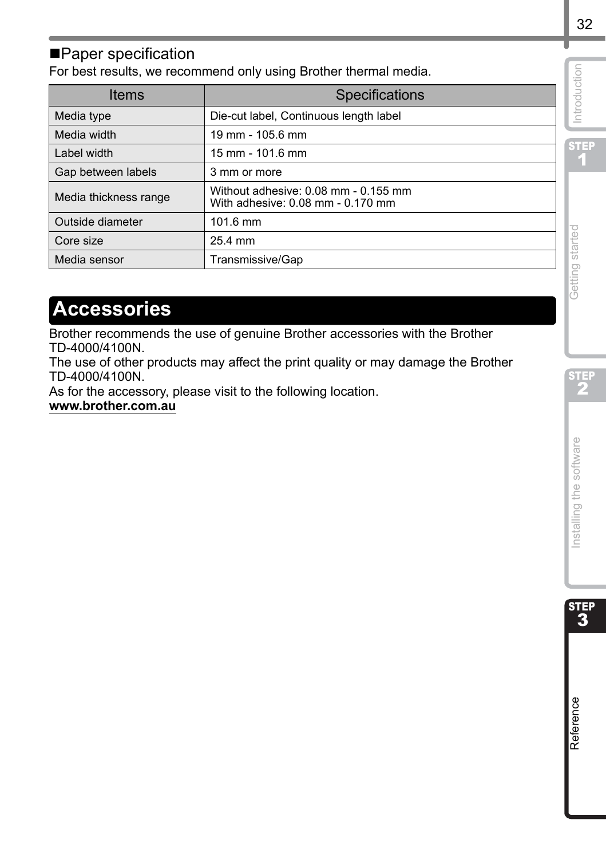## ■Paper specification

For best results, we recommend only using Brother thermal media.

|                                      | Specifications                                                                   |                         |
|--------------------------------------|----------------------------------------------------------------------------------|-------------------------|
| Media type                           | Die-cut label, Continuous length label                                           | Introduction            |
| Media width                          | 19 mm - 105.6 mm                                                                 |                         |
| Label width                          | 15 mm - 101.6 mm                                                                 | STEP                    |
| Gap between labels                   | 3 mm or more                                                                     |                         |
| Media thickness range                | Without adhesive: 0.08 mm - 0.155 mm<br>With adhesive: 0.08 mm - 0.170 mm        |                         |
| Outside diameter                     | 101.6 mm                                                                         |                         |
| Core size                            | 25.4 mm                                                                          | Getting started         |
| Media sensor                         | Transmissive/Gap                                                                 |                         |
| <b>Accessories</b><br>TD-4000/4100N. | Brother recommends the use of genuine Brother accessories with the Brother       |                         |
|                                      | The use of other products may affect the print quality or may damage the Brother |                         |
| TD-4000/4100N.                       | As for the accessory, please visit to the following location.                    | STEP                    |
|                                      |                                                                                  |                         |
|                                      |                                                                                  |                         |
|                                      |                                                                                  |                         |
|                                      |                                                                                  |                         |
|                                      |                                                                                  |                         |
| www.brother.com.au                   |                                                                                  |                         |
|                                      |                                                                                  |                         |
|                                      |                                                                                  |                         |
|                                      |                                                                                  |                         |
|                                      |                                                                                  | Installing the software |
|                                      |                                                                                  |                         |
|                                      |                                                                                  |                         |
|                                      |                                                                                  |                         |
|                                      |                                                                                  |                         |
|                                      |                                                                                  |                         |
|                                      |                                                                                  |                         |
|                                      |                                                                                  |                         |
|                                      |                                                                                  | step<br>3<br>Reference  |

# <span id="page-34-0"></span>**Accessories**